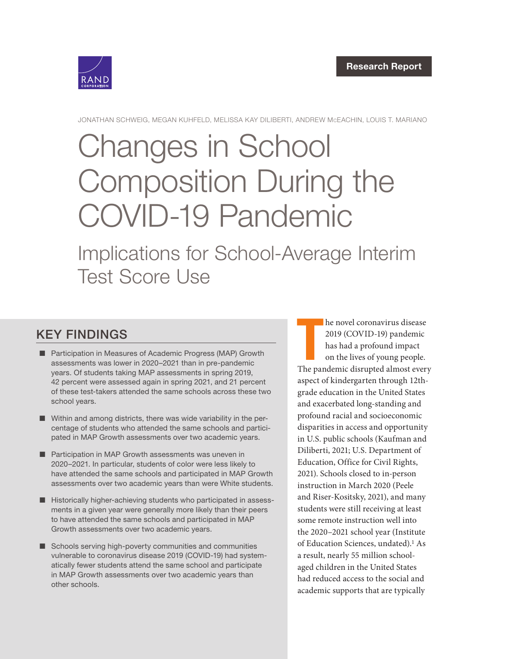

JONATHAN SCHWEIG, MEGAN KUHFELD, MELISSA KAY DILIBERTI, ANDREW McEACHIN, LOUIS T. MARIANO

# Changes in School [Composition During the](https://www.rand.org/pubs/research_reports/RRA1037-2.html)  COVID-19 Pandemic

Implications for School-Average Interim Test Score Use

## KEY FINDINGS

- Participation in Measures of Academic Progress (MAP) Growth assessments was lower in 2020–2021 than in pre-pandemic years. Of students taking MAP assessments in spring 2019, 42 percent were assessed again in spring 2021, and 21 percent of these test-takers attended the same schools across these two school years.
- Within and among districts, there was wide variability in the percentage of students who attended the same schools and participated in MAP Growth assessments over two academic years.
- Participation in MAP Growth assessments was uneven in 2020–2021. In particular, students of color were less likely to have attended the same schools and participated in MAP Growth assessments over two academic years than were White students.
- Historically higher-achieving students who participated in assessments in a given year were generally more likely than their peers to have attended the same schools and participated in MAP Growth assessments over two academic years.
- Schools serving high-poverty communities and communities vulnerable to coronavirus disease 2019 (COVID-19) had systematically fewer students attend the same school and participate in MAP Growth assessments over two academic years than other schools.

he novel coronavirus disease<br>
2019 (COVID-19) pandemic<br>
has had a profound impact<br>
on the lives of young people.<br>
The pandemic disrupted almost every he novel coronavirus disease 2019 (COVID-19) pandemic has had a profound impact on the lives of young people. aspect of kindergarten through 12thgrade education in the United States and exacerbated long-standing and profound racial and socioeconomic disparities in access and opportunity in U.S. public schools (Kaufman and Diliberti, 2021; U.S. Department of Education, Office for Civil Rights, 2021). Schools closed to in-person instruction in March 2020 (Peele and Riser-Kositsky, 2021), and many students were still receiving at least some remote instruction well into the 2020–2021 school year (Institute of Education Sciences, undated).<sup>1</sup> As a result, nearly 55 million schoolaged children in the United States had reduced access to the social and academic supports that are typically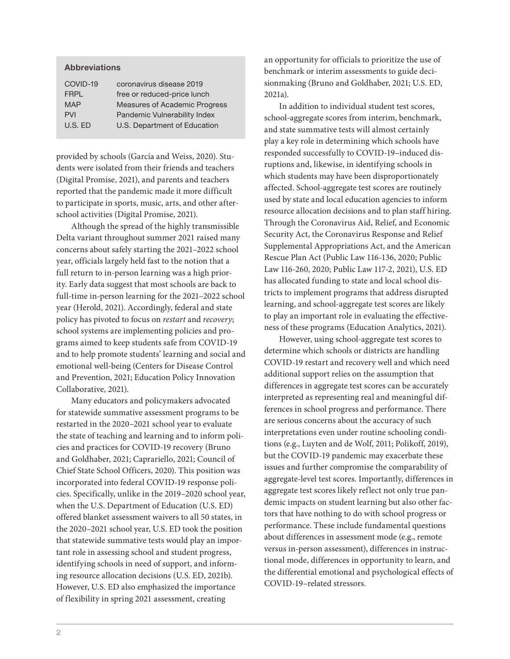#### Abbreviations

| COVID-19    | coronavirus disease 2019             |
|-------------|--------------------------------------|
| <b>FRPL</b> | free or reduced-price lunch          |
| <b>MAP</b>  | <b>Measures of Academic Progress</b> |
| <b>PVI</b>  | Pandemic Vulnerability Index         |
| $U.S.$ ED   | U.S. Department of Education         |
|             |                                      |

provided by schools (García and Weiss, 2020). Students were isolated from their friends and teachers (Digital Promise, 2021), and parents and teachers reported that the pandemic made it more difficult to participate in sports, music, arts, and other afterschool activities (Digital Promise, 2021).

Although the spread of the highly transmissible Delta variant throughout summer 2021 raised many concerns about safely starting the 2021–2022 school year, officials largely held fast to the notion that a full return to in-person learning was a high priority. Early data suggest that most schools are back to full-time in-person learning for the 2021–2022 school year (Herold, 2021). Accordingly, federal and state policy has pivoted to focus on *restart* and *recovery*; school systems are implementing policies and programs aimed to keep students safe from COVID-19 and to help promote students' learning and social and emotional well-being (Centers for Disease Control and Prevention, 2021; Education Policy Innovation Collaborative, 2021).

Many educators and policymakers advocated for statewide summative assessment programs to be restarted in the 2020–2021 school year to evaluate the state of teaching and learning and to inform policies and practices for COVID-19 recovery (Bruno and Goldhaber, 2021; Caprariello, 2021; Council of Chief State School Officers, 2020). This position was incorporated into federal COVID-19 response policies. Specifically, unlike in the 2019–2020 school year, when the U.S. Department of Education (U.S. ED) offered blanket assessment waivers to all 50 states, in the 2020–2021 school year, U.S. ED took the position that statewide summative tests would play an important role in assessing school and student progress, identifying schools in need of support, and informing resource allocation decisions (U.S. ED, 2021b). However, U.S. ED also emphasized the importance of flexibility in spring 2021 assessment, creating

an opportunity for officials to prioritize the use of benchmark or interim assessments to guide decisionmaking (Bruno and Goldhaber, 2021; U.S. ED, 2021a).

In addition to individual student test scores, school-aggregate scores from interim, benchmark, and state summative tests will almost certainly play a key role in determining which schools have responded successfully to COVID-19–induced disruptions and, likewise, in identifying schools in which students may have been disproportionately affected. School-aggregate test scores are routinely used by state and local education agencies to inform resource allocation decisions and to plan staff hiring. Through the Coronavirus Aid, Relief, and Economic Security Act, the Coronavirus Response and Relief Supplemental Appropriations Act, and the American Rescue Plan Act (Public Law 116-136, 2020; Public Law 116-260, 2020; Public Law 117-2, 2021), U.S. ED has allocated funding to state and local school districts to implement programs that address disrupted learning, and school-aggregate test scores are likely to play an important role in evaluating the effectiveness of these programs (Education Analytics, 2021).

However, using school-aggregate test scores to determine which schools or districts are handling COVID-19 restart and recovery well and which need additional support relies on the assumption that differences in aggregate test scores can be accurately interpreted as representing real and meaningful differences in school progress and performance. There are serious concerns about the accuracy of such interpretations even under routine schooling conditions (e.g., Luyten and de Wolf, 2011; Polikoff, 2019), but the COVID-19 pandemic may exacerbate these issues and further compromise the comparability of aggregate-level test scores. Importantly, differences in aggregate test scores likely reflect not only true pandemic impacts on student learning but also other factors that have nothing to do with school progress or performance. These include fundamental questions about differences in assessment mode (e.g., remote versus in-person assessment), differences in instructional mode, differences in opportunity to learn, and the differential emotional and psychological effects of COVID-19–related stressors.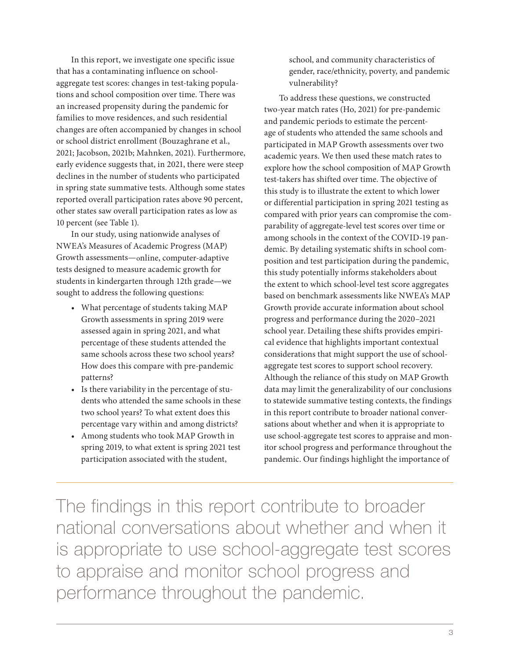In this report, we investigate one specific issue that has a contaminating influence on schoolaggregate test scores: changes in test-taking populations and school composition over time. There was an increased propensity during the pandemic for families to move residences, and such residential changes are often accompanied by changes in school or school district enrollment (Bouzaghrane et al., 2021; Jacobson, 2021b; Mahnken, 2021). Furthermore, early evidence suggests that, in 2021, there were steep declines in the number of students who participated in spring state summative tests. Although some states reported overall participation rates above 90 percent, other states saw overall participation rates as low as 10 percent (see Table 1).

In our study, using nationwide analyses of NWEA's Measures of Academic Progress (MAP) Growth assessments—online, computer-adaptive tests designed to measure academic growth for students in kindergarten through 12th grade—we sought to address the following questions:

- What percentage of students taking MAP Growth assessments in spring 2019 were assessed again in spring 2021, and what percentage of these students attended the same schools across these two school years? How does this compare with pre-pandemic patterns?
- Is there variability in the percentage of students who attended the same schools in these two school years? To what extent does this percentage vary within and among districts?
- Among students who took MAP Growth in spring 2019, to what extent is spring 2021 test participation associated with the student,

school, and community characteristics of gender, race/ethnicity, poverty, and pandemic vulnerability?

To address these questions, we constructed two-year match rates (Ho, 2021) for pre-pandemic and pandemic periods to estimate the percentage of students who attended the same schools and participated in MAP Growth assessments over two academic years. We then used these match rates to explore how the school composition of MAP Growth test-takers has shifted over time. The objective of this study is to illustrate the extent to which lower or differential participation in spring 2021 testing as compared with prior years can compromise the comparability of aggregate-level test scores over time or among schools in the context of the COVID-19 pandemic. By detailing systematic shifts in school composition and test participation during the pandemic, this study potentially informs stakeholders about the extent to which school-level test score aggregates based on benchmark assessments like NWEA's MAP Growth provide accurate information about school progress and performance during the 2020–2021 school year. Detailing these shifts provides empirical evidence that highlights important contextual considerations that might support the use of schoolaggregate test scores to support school recovery. Although the reliance of this study on MAP Growth data may limit the generalizability of our conclusions to statewide summative testing contexts, the findings in this report contribute to broader national conversations about whether and when it is appropriate to use school-aggregate test scores to appraise and monitor school progress and performance throughout the pandemic. Our findings highlight the importance of

The findings in this report contribute to broader national conversations about whether and when it is appropriate to use school-aggregate test scores to appraise and monitor school progress and performance throughout the pandemic.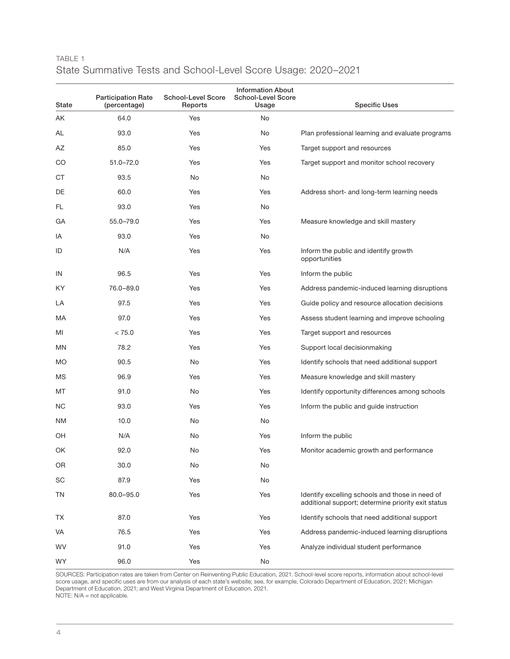| TABLE 1                                                       |  |  |  |
|---------------------------------------------------------------|--|--|--|
| State Summative Tests and School-Level Score Usage: 2020–2021 |  |  |  |

| State     | <b>Participation Rate</b><br>(percentage) | <b>School-Level Score</b><br>Reports | <b>Information About</b><br><b>School-Level Score</b><br>Usage | <b>Specific Uses</b>                                                                                  |
|-----------|-------------------------------------------|--------------------------------------|----------------------------------------------------------------|-------------------------------------------------------------------------------------------------------|
| ΑK        | 64.0                                      | Yes                                  | No                                                             |                                                                                                       |
| AL        | 93.0                                      | Yes                                  | No                                                             | Plan professional learning and evaluate programs                                                      |
| AZ        | 85.0                                      | Yes                                  | Yes                                                            | Target support and resources                                                                          |
| CO        | $51.0 - 72.0$                             | Yes                                  | Yes                                                            | Target support and monitor school recovery                                                            |
| CT.       | 93.5                                      | No                                   | <b>No</b>                                                      |                                                                                                       |
| DE        | 60.0                                      | Yes                                  | Yes                                                            | Address short- and long-term learning needs                                                           |
| FL        | 93.0                                      | Yes                                  | No                                                             |                                                                                                       |
| GА        | 55.0-79.0                                 | Yes                                  | Yes                                                            | Measure knowledge and skill mastery                                                                   |
| IA        | 93.0                                      | Yes                                  | No                                                             |                                                                                                       |
| ID        | N/A                                       | Yes                                  | Yes                                                            | Inform the public and identify growth<br>opportunities                                                |
| IN        | 96.5                                      | Yes                                  | Yes                                                            | Inform the public                                                                                     |
| KY.       | 76.0-89.0                                 | Yes                                  | Yes                                                            | Address pandemic-induced learning disruptions                                                         |
| LA        | 97.5                                      | Yes                                  | Yes                                                            | Guide policy and resource allocation decisions                                                        |
| МA        | 97.0                                      | Yes                                  | Yes                                                            | Assess student learning and improve schooling                                                         |
| MI        | < 75.0                                    | Yes                                  | Yes                                                            | Target support and resources                                                                          |
| MN        | 78.2                                      | Yes                                  | Yes                                                            | Support local decisionmaking                                                                          |
| <b>MO</b> | 90.5                                      | No                                   | Yes                                                            | Identify schools that need additional support                                                         |
| ΜS        | 96.9                                      | Yes                                  | Yes                                                            | Measure knowledge and skill mastery                                                                   |
| МT        | 91.0                                      | No                                   | Yes                                                            | Identify opportunity differences among schools                                                        |
| ΝC        | 93.0                                      | Yes                                  | Yes                                                            | Inform the public and guide instruction                                                               |
| <b>NM</b> | 10.0                                      | No                                   | No                                                             |                                                                                                       |
| OH        | N/A                                       | No                                   | Yes                                                            | Inform the public                                                                                     |
| OK        | 92.0                                      | No                                   | Yes                                                            | Monitor academic growth and performance                                                               |
| 0R        | 30.0                                      | No                                   | No                                                             |                                                                                                       |
| SC        | 87.9                                      | Yes                                  | No                                                             |                                                                                                       |
| TN        | $80.0 - 95.0$                             | Yes                                  | Yes                                                            | Identify excelling schools and those in need of<br>additional support; determine priority exit status |
| ТX        | 87.0                                      | Yes                                  | Yes                                                            | Identify schools that need additional support                                                         |
| VA        | 76.5                                      | Yes                                  | Yes                                                            | Address pandemic-induced learning disruptions                                                         |
| <b>WV</b> | 91.0                                      | Yes                                  | Yes                                                            | Analyze individual student performance                                                                |
| <b>WY</b> | 96.0                                      | Yes                                  | No                                                             |                                                                                                       |

SOURCES: Participation rates are taken from Center on Reinventing Public Education, 2021. School-level score reports, information about school-level score usage, and specific uses are from our analysis of each state's website; see, for example, Colorado Department of Education, 2021; Michigan Department of Education, 2021; and West Virginia Department of Education, 2021. NOTE: N/A = not applicable.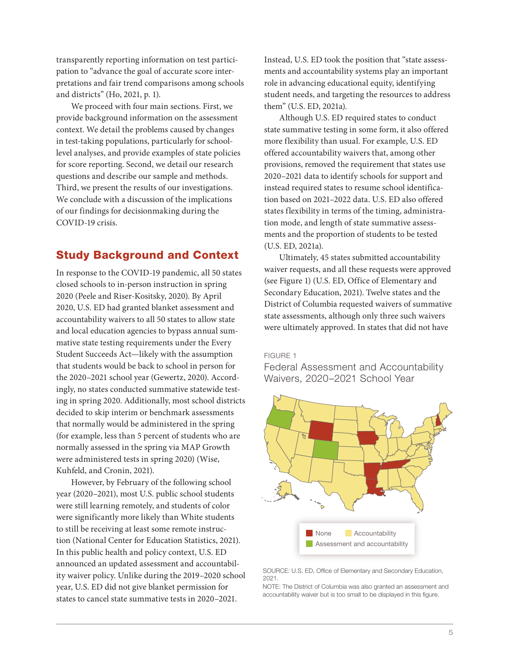transparently reporting information on test participation to "advance the goal of accurate score interpretations and fair trend comparisons among schools and districts" (Ho, 2021, p. 1).

We proceed with four main sections. First, we provide background information on the assessment context. We detail the problems caused by changes in test-taking populations, particularly for schoollevel analyses, and provide examples of state policies for score reporting. Second, we detail our research questions and describe our sample and methods. Third, we present the results of our investigations. We conclude with a discussion of the implications of our findings for decisionmaking during the COVID-19 crisis.

## Study Background and Context

In response to the COVID-19 pandemic, all 50 states closed schools to in-person instruction in spring 2020 (Peele and Riser-Kositsky, 2020). By April 2020, U.S. ED had granted blanket assessment and accountability waivers to all 50 states to allow state and local education agencies to bypass annual summative state testing requirements under the Every Student Succeeds Act—likely with the assumption that students would be back to school in person for the 2020–2021 school year (Gewertz, 2020). Accordingly, no states conducted summative statewide testing in spring 2020. Additionally, most school districts decided to skip interim or benchmark assessments that normally would be administered in the spring (for example, less than 5 percent of students who are normally assessed in the spring via MAP Growth were administered tests in spring 2020) (Wise, Kuhfeld, and Cronin, 2021).

However, by February of the following school year (2020–2021), most U.S. public school students were still learning remotely, and students of color were significantly more likely than White students to still be receiving at least some remote instruction (National Center for Education Statistics, 2021). In this public health and policy context, U.S. ED announced an updated assessment and accountability waiver policy. Unlike during the 2019–2020 school year, U.S. ED did not give blanket permission for states to cancel state summative tests in 2020–2021.

Instead, U.S. ED took the position that "state assessments and accountability systems play an important role in advancing educational equity, identifying student needs, and targeting the resources to address them" (U.S. ED, 2021a).

Although U.S. ED required states to conduct state summative testing in some form, it also offered more flexibility than usual. For example, U.S. ED offered accountability waivers that, among other provisions, removed the requirement that states use 2020–2021 data to identify schools for support and instead required states to resume school identification based on 2021–2022 data. U.S. ED also offered states flexibility in terms of the timing, administration mode, and length of state summative assessments and the proportion of students to be tested (U.S. ED, 2021a).

Ultimately, 45 states submitted accountability waiver requests, and all these requests were approved (see Figure 1) (U.S. ED, Office of Elementary and Secondary Education, 2021). Twelve states and the District of Columbia requested waivers of summative state assessments, although only three such waivers were ultimately approved. In states that did not have

#### FIGURE 1

Federal Assessment and Accountability Waivers, 2020–2021 School Year



#### SOURCE: U.S. ED, Office of Elementary and Secondary Education, 2021.

NOTE: The District of Columbia was also granted an assessment and accountability waiver but is too small to be displayed in this figure.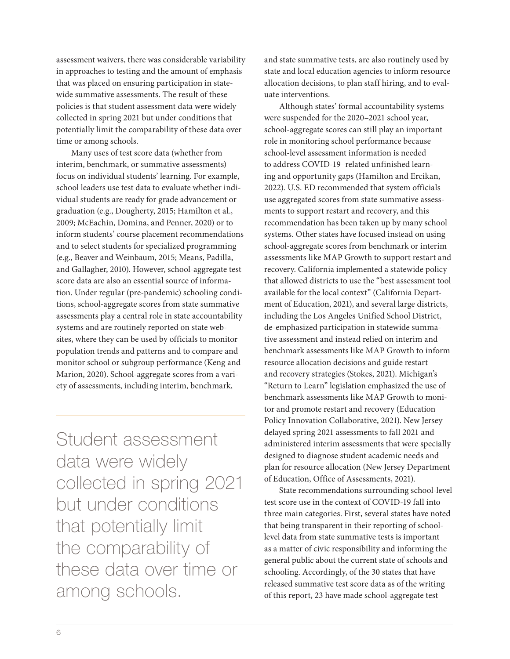assessment waivers, there was considerable variability in approaches to testing and the amount of emphasis that was placed on ensuring participation in statewide summative assessments. The result of these policies is that student assessment data were widely collected in spring 2021 but under conditions that potentially limit the comparability of these data over time or among schools.

Many uses of test score data (whether from interim, benchmark, or summative assessments) focus on individual students' learning. For example, school leaders use test data to evaluate whether individual students are ready for grade advancement or graduation (e.g., Dougherty, 2015; Hamilton et al., 2009; McEachin, Domina, and Penner, 2020) or to inform students' course placement recommendations and to select students for specialized programming (e.g., Beaver and Weinbaum, 2015; Means, Padilla, and Gallagher, 2010). However, school-aggregate test score data are also an essential source of information. Under regular (pre-pandemic) schooling conditions, school-aggregate scores from state summative assessments play a central role in state accountability systems and are routinely reported on state websites, where they can be used by officials to monitor population trends and patterns and to compare and monitor school or subgroup performance (Keng and Marion, 2020). School-aggregate scores from a variety of assessments, including interim, benchmark,

Student assessment data were widely collected in spring 2021 but under conditions that potentially limit the comparability of these data over time or among schools.

and state summative tests, are also routinely used by state and local education agencies to inform resource allocation decisions, to plan staff hiring, and to evaluate interventions.

Although states' formal accountability systems were suspended for the 2020–2021 school year, school-aggregate scores can still play an important role in monitoring school performance because school-level assessment information is needed to address COVID-19–related unfinished learning and opportunity gaps (Hamilton and Ercikan, 2022). U.S. ED recommended that system officials use aggregated scores from state summative assessments to support restart and recovery, and this recommendation has been taken up by many school systems. Other states have focused instead on using school-aggregate scores from benchmark or interim assessments like MAP Growth to support restart and recovery. California implemented a statewide policy that allowed districts to use the "best assessment tool available for the local context" (California Department of Education, 2021), and several large districts, including the Los Angeles Unified School District, de-emphasized participation in statewide summative assessment and instead relied on interim and benchmark assessments like MAP Growth to inform resource allocation decisions and guide restart and recovery strategies (Stokes, 2021). Michigan's "Return to Learn" legislation emphasized the use of benchmark assessments like MAP Growth to monitor and promote restart and recovery (Education Policy Innovation Collaborative, 2021). New Jersey delayed spring 2021 assessments to fall 2021 and administered interim assessments that were specially designed to diagnose student academic needs and plan for resource allocation (New Jersey Department of Education, Office of Assessments, 2021).

State recommendations surrounding school-level test score use in the context of COVID-19 fall into three main categories. First, several states have noted that being transparent in their reporting of schoollevel data from state summative tests is important as a matter of civic responsibility and informing the general public about the current state of schools and schooling. Accordingly, of the 30 states that have released summative test score data as of the writing of this report, 23 have made school-aggregate test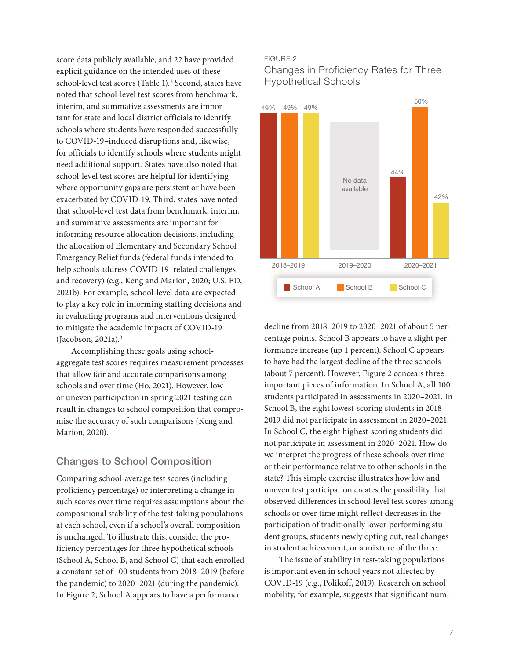score data publicly available, and 22 have provided explicit guidance on the intended uses of these school-level test scores (Table 1).<sup>2</sup> Second, states have noted that school-level test scores from benchmark, interim, and summative assessments are important for state and local district officials to identify schools where students have responded successfully to COVID-19–induced disruptions and, likewise, for officials to identify schools where students might need additional support. States have also noted that school-level test scores are helpful for identifying where opportunity gaps are persistent or have been exacerbated by COVID-19. Third, states have noted that school-level test data from benchmark, interim, and summative assessments are important for informing resource allocation decisions, including the allocation of Elementary and Secondary School Emergency Relief funds (federal funds intended to help schools address COVID-19–related challenges and recovery) (e.g., Keng and Marion, 2020; U.S. ED, 2021b). For example, school-level data are expected to play a key role in informing staffing decisions and in evaluating programs and interventions designed to mitigate the academic impacts of COVID-19 (Jacobson, 2021a).3

Accomplishing these goals using schoolaggregate test scores requires measurement processes that allow fair and accurate comparisons among schools and over time (Ho, 2021). However, low or uneven participation in spring 2021 testing can result in changes to school composition that compromise the accuracy of such comparisons (Keng and Marion, 2020).

## Changes to School Composition

Comparing school-average test scores (including proficiency percentage) or interpreting a change in such scores over time requires assumptions about the compositional stability of the test-taking populations at each school, even if a school's overall composition is unchanged. To illustrate this, consider the proficiency percentages for three hypothetical schools (School A, School B, and School C) that each enrolled a constant set of 100 students from 2018–2019 (before the pandemic) to 2020–2021 (during the pandemic). In Figure 2, School A appears to have a performance

#### FIGURE 2

Changes in Proficiency Rates for Three Hypothetical Schools



decline from 2018–2019 to 2020–2021 of about 5 percentage points. School B appears to have a slight performance increase (up 1 percent). School C appears to have had the largest decline of the three schools (about 7 percent). However, Figure 2 conceals three important pieces of information. In School A, all 100 students participated in assessments in 2020–2021. In School B, the eight lowest-scoring students in 2018– 2019 did not participate in assessment in 2020–2021. In School C, the eight highest-scoring students did not participate in assessment in 2020–2021. How do we interpret the progress of these schools over time or their performance relative to other schools in the state? This simple exercise illustrates how low and uneven test participation creates the possibility that observed differences in school-level test scores among schools or over time might reflect decreases in the participation of traditionally lower-performing student groups, students newly opting out, real changes in student achievement, or a mixture of the three.

The issue of stability in test-taking populations is important even in school years not affected by COVID-19 (e.g., Polikoff, 2019). Research on school mobility, for example, suggests that significant num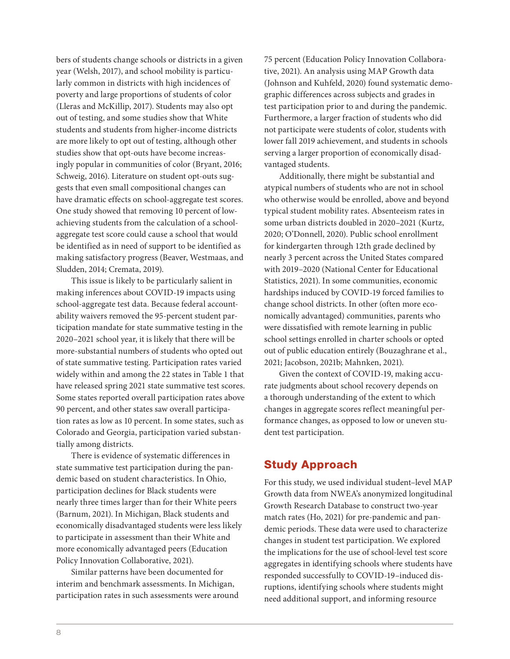bers of students change schools or districts in a given year (Welsh, 2017), and school mobility is particularly common in districts with high incidences of poverty and large proportions of students of color (Lleras and McKillip, 2017). Students may also opt out of testing, and some studies show that White students and students from higher-income districts are more likely to opt out of testing, although other studies show that opt-outs have become increasingly popular in communities of color (Bryant, 2016; Schweig, 2016). Literature on student opt-outs suggests that even small compositional changes can have dramatic effects on school-aggregate test scores. One study showed that removing 10 percent of lowachieving students from the calculation of a schoolaggregate test score could cause a school that would be identified as in need of support to be identified as making satisfactory progress (Beaver, Westmaas, and Sludden, 2014; Cremata, 2019).

This issue is likely to be particularly salient in making inferences about COVID-19 impacts using school-aggregate test data. Because federal accountability waivers removed the 95-percent student participation mandate for state summative testing in the 2020–2021 school year, it is likely that there will be more-substantial numbers of students who opted out of state summative testing. Participation rates varied widely within and among the 22 states in Table 1 that have released spring 2021 state summative test scores. Some states reported overall participation rates above 90 percent, and other states saw overall participation rates as low as 10 percent. In some states, such as Colorado and Georgia, participation varied substantially among districts.

There is evidence of systematic differences in state summative test participation during the pandemic based on student characteristics. In Ohio, participation declines for Black students were nearly three times larger than for their White peers (Barnum, 2021). In Michigan, Black students and economically disadvantaged students were less likely to participate in assessment than their White and more economically advantaged peers (Education Policy Innovation Collaborative, 2021).

Similar patterns have been documented for interim and benchmark assessments. In Michigan, participation rates in such assessments were around

75 percent (Education Policy Innovation Collaborative, 2021). An analysis using MAP Growth data (Johnson and Kuhfeld, 2020) found systematic demographic differences across subjects and grades in test participation prior to and during the pandemic. Furthermore, a larger fraction of students who did not participate were students of color, students with lower fall 2019 achievement, and students in schools serving a larger proportion of economically disadvantaged students.

Additionally, there might be substantial and atypical numbers of students who are not in school who otherwise would be enrolled, above and beyond typical student mobility rates. Absenteeism rates in some urban districts doubled in 2020–2021 (Kurtz, 2020; O'Donnell, 2020). Public school enrollment for kindergarten through 12th grade declined by nearly 3 percent across the United States compared with 2019–2020 (National Center for Educational Statistics, 2021). In some communities, economic hardships induced by COVID-19 forced families to change school districts. In other (often more economically advantaged) communities, parents who were dissatisfied with remote learning in public school settings enrolled in charter schools or opted out of public education entirely (Bouzaghrane et al., 2021; Jacobson, 2021b; Mahnken, 2021).

Given the context of COVID-19, making accurate judgments about school recovery depends on a thorough understanding of the extent to which changes in aggregate scores reflect meaningful performance changes, as opposed to low or uneven student test participation.

## Study Approach

For this study, we used individual student–level MAP Growth data from NWEA's anonymized longitudinal Growth Research Database to construct two-year match rates (Ho, 2021) for pre-pandemic and pandemic periods. These data were used to characterize changes in student test participation. We explored the implications for the use of school-level test score aggregates in identifying schools where students have responded successfully to COVID-19–induced disruptions, identifying schools where students might need additional support, and informing resource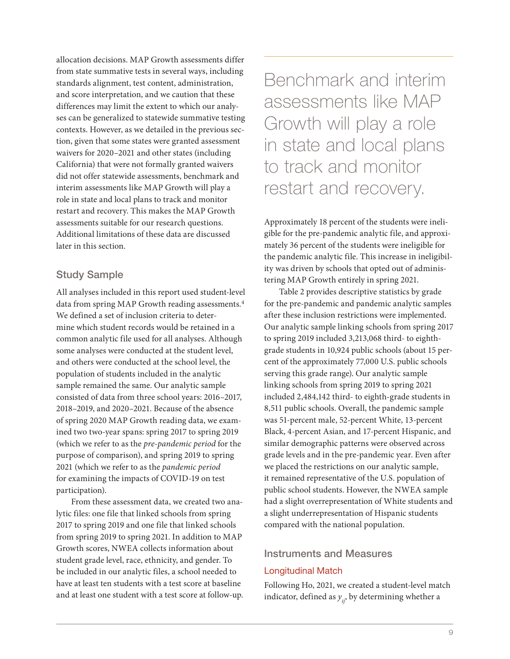allocation decisions. MAP Growth assessments differ from state summative tests in several ways, including standards alignment, test content, administration, and score interpretation, and we caution that these differences may limit the extent to which our analyses can be generalized to statewide summative testing contexts. However, as we detailed in the previous section, given that some states were granted assessment waivers for 2020–2021 and other states (including California) that were not formally granted waivers did not offer statewide assessments, benchmark and interim assessments like MAP Growth will play a role in state and local plans to track and monitor restart and recovery. This makes the MAP Growth assessments suitable for our research questions. Additional limitations of these data are discussed later in this section.

## Study Sample

All analyses included in this report used student-level data from spring MAP Growth reading assessments.<sup>4</sup> We defined a set of inclusion criteria to determine which student records would be retained in a common analytic file used for all analyses. Although some analyses were conducted at the student level, and others were conducted at the school level, the population of students included in the analytic sample remained the same. Our analytic sample consisted of data from three school years: 2016–2017, 2018–2019, and 2020–2021. Because of the absence of spring 2020 MAP Growth reading data, we examined two two-year spans: spring 2017 to spring 2019 (which we refer to as the *pre-pandemic period* for the purpose of comparison), and spring 2019 to spring 2021 (which we refer to as the *pandemic period* for examining the impacts of COVID-19 on test participation).

From these assessment data, we created two analytic files: one file that linked schools from spring 2017 to spring 2019 and one file that linked schools from spring 2019 to spring 2021. In addition to MAP Growth scores, NWEA collects information about student grade level, race, ethnicity, and gender. To be included in our analytic files, a school needed to have at least ten students with a test score at baseline and at least one student with a test score at follow-up.

Benchmark and interim assessments like MAP Growth will play a role in state and local plans to track and monitor restart and recovery.

Approximately 18 percent of the students were ineligible for the pre-pandemic analytic file, and approximately 36 percent of the students were ineligible for the pandemic analytic file. This increase in ineligibility was driven by schools that opted out of administering MAP Growth entirely in spring 2021.

Table 2 provides descriptive statistics by grade for the pre-pandemic and pandemic analytic samples after these inclusion restrictions were implemented. Our analytic sample linking schools from spring 2017 to spring 2019 included 3,213,068 third- to eighthgrade students in 10,924 public schools (about 15 percent of the approximately 77,000 U.S. public schools serving this grade range). Our analytic sample linking schools from spring 2019 to spring 2021 included 2,484,142 third- to eighth-grade students in 8,511 public schools. Overall, the pandemic sample was 51-percent male, 52-percent White, 13-percent Black, 4-percent Asian, and 17-percent Hispanic, and similar demographic patterns were observed across grade levels and in the pre-pandemic year. Even after we placed the restrictions on our analytic sample, it remained representative of the U.S. population of public school students. However, the NWEA sample had a slight overrepresentation of White students and a slight underrepresentation of Hispanic students compared with the national population.

#### Instruments and Measures

#### Longitudinal Match

Following Ho, 2021, we created a student-level match indicator, defined as  $y_{ij}$ , by determining whether a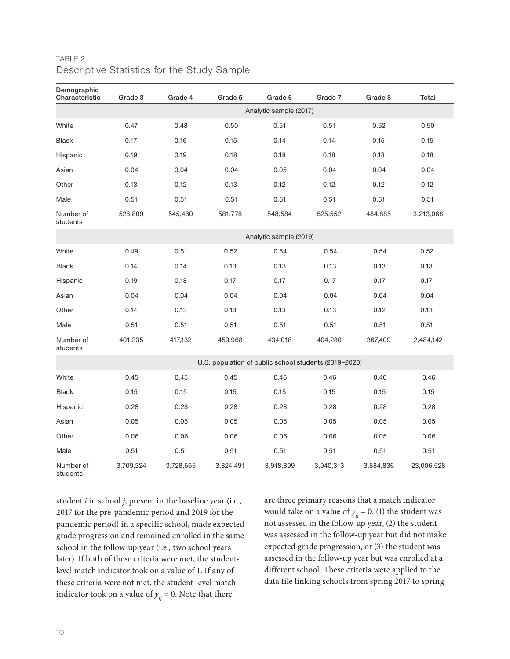| Demographic<br>Characteristic | Grade 3   | Grade 4   | Grade 5   | Grade 6                                               | Grade 7   | Grade 8   | Total      |
|-------------------------------|-----------|-----------|-----------|-------------------------------------------------------|-----------|-----------|------------|
|                               |           |           |           | Analytic sample (2017)                                |           |           |            |
| White                         | 0.47      | 0.48      | 0.50      | 0.51                                                  | 0.51      | 0.52      | 0.50       |
| <b>Black</b>                  | 0.17      | 0.16      | 0.15      | 0.14                                                  | 0.14      | 0.15      | 0.15       |
| Hispanic                      | 0.19      | 0.19      | 0.18      | 0.18                                                  | 0.18      | 0.18      | 0.18       |
| Asian                         | 0.04      | 0.04      | 0.04      | 0.05                                                  | 0.04      | 0.04      | 0.04       |
| Other                         | 0.13      | 0.12      | 0.13      | 0.12                                                  | 0.12      | 0.12      | 0.12       |
| Male                          | 0.51      | 0.51      | 0.51      | 0.51                                                  | 0.51      | 0.51      | 0.51       |
| Number of<br>students         | 526,809   | 545,460   | 581,778   | 548,584                                               | 525,552   | 484,885   | 3,213,068  |
|                               |           |           |           | Analytic sample (2019)                                |           |           |            |
| White                         | 0.49      | 0.51      | 0.52      | 0.54                                                  | 0.54      | 0.54      | 0.52       |
| <b>Black</b>                  | 0.14      | 0.14      | 0.13      | 0.13                                                  | 0.13      | 0.13      | 0.13       |
| Hispanic                      | 0.19      | 0.18      | 0.17      | 0.17                                                  | 0.17      | 0.17      | 0.17       |
| Asian                         | 0.04      | 0.04      | 0.04      | 0.04                                                  | 0.04      | 0.04      | 0.04       |
| Other                         | 0.14      | 0.13      | 0.13      | 0.13                                                  | 0.13      | 0.12      | 0.13       |
| Male                          | 0.51      | 0.51      | 0.51      | 0.51                                                  | 0.51      | 0.51      | 0.51       |
| Number of<br>students         | 401,335   | 417,132   | 459,968   | 434,018                                               | 404,280   | 367,409   | 2,484,142  |
|                               |           |           |           | U.S. population of public school students (2019-2020) |           |           |            |
| White                         | 0.45      | 0.45      | 0.45      | 0.46                                                  | 0.46      | 0.46      | 0.46       |
| <b>Black</b>                  | 0.15      | 0.15      | 0.15      | 0.15                                                  | 0.15      | 0.15      | 0.15       |
| Hispanic                      | 0.28      | 0.28      | 0.28      | 0.28                                                  | 0.28      | 0.28      | 0.28       |
| Asian                         | 0.05      | 0.05      | 0.05      | 0.05                                                  | 0.05      | 0.05      | 0.05       |
| Other                         | 0.06      | 0.06      | 0.06      | 0.06                                                  | 0.06      | 0.05      | 0.06       |
| Male                          | 0.51      | 0.51      | 0.51      | 0.51                                                  | 0.51      | 0.51      | 0.51       |
| Number of<br>students         | 3,709,324 | 3,728,665 | 3,824,491 | 3,918,899                                             | 3,940,313 | 3,884,836 | 23,006,528 |

## TABLE 2 Descriptive Statistics for the Study Sample

student *i* in school *j*, present in the baseline year (i.e., 2017 for the pre-pandemic period and 2019 for the pandemic period) in a specific school, made expected grade progression and remained enrolled in the same school in the follow-up year (i.e., two school years later). If both of these criteria were met, the studentlevel match indicator took on a value of 1. If any of these criteria were not met, the student-level match indicator took on a value of  $y_{ij} = 0$ . Note that there

are three primary reasons that a match indicator would take on a value of  $y_{ij} = 0$ : (1) the student was not assessed in the follow-up year, (2) the student was assessed in the follow-up year but did not make expected grade progression, or (3) the student was assessed in the follow-up year but was enrolled at a different school. These criteria were applied to the data file linking schools from spring 2017 to spring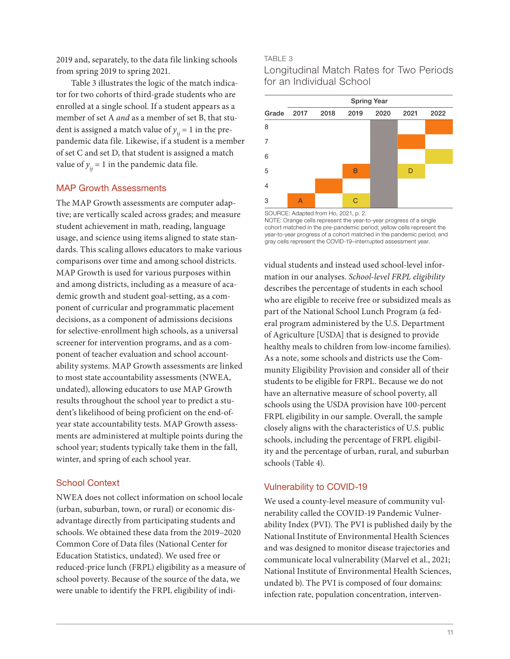2019 and, separately, to the data file linking schools from spring 2019 to spring 2021.

Table 3 illustrates the logic of the match indicator for two cohorts of third-grade students who are enrolled at a single school. If a student appears as a member of set A *and* as a member of set B, that student is assigned a match value of  $y_{ii} = 1$  in the prepandemic data file. Likewise, if a student is a member of set C and set D, that student is assigned a match value of  $y_{ii} = 1$  in the pandemic data file.

#### MAP Growth Assessments

The MAP Growth assessments are computer adaptive; are vertically scaled across grades; and measure student achievement in math, reading, language usage, and science using items aligned to state standards. This scaling allows educators to make various comparisons over time and among school districts. MAP Growth is used for various purposes within and among districts, including as a measure of academic growth and student goal-setting, as a component of curricular and programmatic placement decisions, as a component of admissions decisions for selective-enrollment high schools, as a universal screener for intervention programs, and as a component of teacher evaluation and school accountability systems. MAP Growth assessments are linked to most state accountability assessments (NWEA, undated), allowing educators to use MAP Growth results throughout the school year to predict a student's likelihood of being proficient on the end-ofyear state accountability tests. MAP Growth assessments are administered at multiple points during the school year; students typically take them in the fall, winter, and spring of each school year.

#### School Context

NWEA does not collect information on school locale (urban, suburban, town, or rural) or economic disadvantage directly from participating students and schools. We obtained these data from the 2019–2020 Common Core of Data files (National Center for Education Statistics, undated). We used free or reduced-price lunch (FRPL) eligibility as a measure of school poverty. Because of the source of the data, we were unable to identify the FRPL eligibility of indi-

#### TABLE 3

Longitudinal Match Rates for Two Periods for an Individual School

|   | <b>Spring Year</b> |  |      |      |      |      |  |  |  |
|---|--------------------|--|------|------|------|------|--|--|--|
|   | Grade 2017 2018    |  | 2019 | 2020 | 2021 | 2022 |  |  |  |
| 8 |                    |  |      |      |      |      |  |  |  |
| 7 |                    |  |      |      |      |      |  |  |  |
| 6 |                    |  |      |      |      |      |  |  |  |
| 5 |                    |  | B    |      | D    |      |  |  |  |
| 4 |                    |  |      |      |      |      |  |  |  |
| 3 | $\overline{A}$     |  | C    |      |      |      |  |  |  |

SOURCE: Adapted from Ho, 2021, p. 2. NOTE: Orange cells represent the year-to-year progress of a single cohort matched in the pre-pandemic period; yellow cells represent the year-to-year progress of a cohort matched in the pandemic period; and gray cells represent the COVID-19–interrupted assessment year.

vidual students and instead used school-level information in our analyses. *School-level FRPL eligibility* describes the percentage of students in each school who are eligible to receive free or subsidized meals as part of the National School Lunch Program (a federal program administered by the U.S. Department of Agriculture [USDA] that is designed to provide healthy meals to children from low-income families). As a note, some schools and districts use the Community Eligibility Provision and consider all of their students to be eligible for FRPL. Because we do not have an alternative measure of school poverty, all schools using the USDA provision have 100-percent FRPL eligibility in our sample. Overall, the sample closely aligns with the characteristics of U.S. public schools, including the percentage of FRPL eligibility and the percentage of urban, rural, and suburban schools (Table 4).

#### Vulnerability to COVID-19

We used a county-level measure of community vulnerability called the COVID-19 Pandemic Vulnerability Index (PVI). The PVI is published daily by the National Institute of Environmental Health Sciences and was designed to monitor disease trajectories and communicate local vulnerability (Marvel et al., 2021; National Institute of Environmental Health Sciences, undated b). The PVI is composed of four domains: infection rate, population concentration, interven-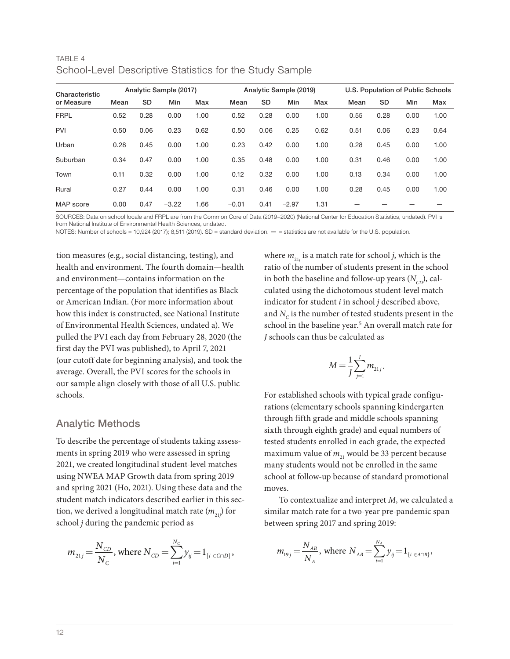| <u>UUTIUUT LUVUI DUUUTINIIVU ULAIDIIUU TUT ITIU ULAIAY UATTIMIU</u> |      |                        |         |      |         |                        |         |      |      |                                   |      |      |
|---------------------------------------------------------------------|------|------------------------|---------|------|---------|------------------------|---------|------|------|-----------------------------------|------|------|
| Characteristic<br>or Measure                                        |      | Analytic Sample (2017) |         |      |         | Analytic Sample (2019) |         |      |      | U.S. Population of Public Schools |      |      |
|                                                                     | Mean | <b>SD</b>              | Min     | Max  | Mean    | <b>SD</b>              | Min     | Max  | Mean | <b>SD</b>                         | Min  | Max  |
| <b>FRPL</b>                                                         | 0.52 | 0.28                   | 0.00    | 1.00 | 0.52    | 0.28                   | 0.00    | 1.00 | 0.55 | 0.28                              | 0.00 | 1.00 |
| <b>PVI</b>                                                          | 0.50 | 0.06                   | 0.23    | 0.62 | 0.50    | 0.06                   | 0.25    | 0.62 | 0.51 | 0.06                              | 0.23 | 0.64 |
| Urban                                                               | 0.28 | 0.45                   | 0.00    | 1.00 | 0.23    | 0.42                   | 0.00    | 1.00 | 0.28 | 0.45                              | 0.00 | 1.00 |
| Suburban                                                            | 0.34 | 0.47                   | 0.00    | 1.00 | 0.35    | 0.48                   | 0.00    | 1.00 | 0.31 | 0.46                              | 0.00 | 1.00 |
| Town                                                                | 0.11 | 0.32                   | 0.00    | 1.00 | 0.12    | 0.32                   | 0.00    | 1.00 | 0.13 | 0.34                              | 0.00 | 1.00 |
| Rural                                                               | 0.27 | 0.44                   | 0.00    | 1.00 | 0.31    | 0.46                   | 0.00    | 1.00 | 0.28 | 0.45                              | 0.00 | 1.00 |
| MAP score                                                           | 0.00 | 0.47                   | $-3.22$ | 1.66 | $-0.01$ | 0.41                   | $-2.97$ | 1.31 |      |                                   |      |      |

#### TABLE 4 School-Level Descriptive Statistics for the Study Sample

SOURCES: Data on school locale and FRPL are from the Common Core of Data (2019–2020) (National Center for Education Statistics, undated). PVI is from National Institute of Environmental Health Sciences, undated.

NOTES: Number of schools = 10,924 (2017); 8,511 (2019). SD = standard deviation. — = statistics are not available for the U.S. population.

tion measures (e.g., social distancing, testing), and health and environment. The fourth domain—health and environment—contains information on the percentage of the population that identifies as Black or American Indian. (For more information about how this index is constructed, see National Institute of Environmental Health Sciences, undated a). We pulled the PVI each day from February 28, 2020 (the first day the PVI was published), to April 7, 2021 (our cutoff date for beginning analysis), and took the average. Overall, the PVI scores for the schools in our sample align closely with those of all U.S. public schools.

#### Analytic Methods

To describe the percentage of students taking assessments in spring 2019 who were assessed in spring 2021, we created longitudinal student-level matches using NWEA MAP Growth data from spring 2019 and spring 2021 (Ho, 2021). Using these data and the student match indicators described earlier in this section, we derived a longitudinal match rate  $(m_{_{21\!}})$  for school *j* during the pandemic period as

$$
m_{21j} = \frac{N_{CD}}{N_C}
$$
, where  $N_{CD} = \sum_{i=1}^{N_C} y_{ij} = 1_{\{i \in C \cap D\}}$ ,

where  $m_{21j}$  is a match rate for school *j*, which is the ratio of the number of students present in the school in both the baseline and follow-up years  $(N_{CD})$ , calculated using the dichotomous student-level match indicator for student *i* in school *j* described above, and  $N_c$  is the number of tested students present in the school in the baseline year.<sup>5</sup> An overall match rate for *J* schools can thus be calculated as

$$
M = \frac{1}{J} \sum_{j=1}^{J} m_{21j}.
$$

For established schools with typical grade configurations (elementary schools spanning kindergarten through fifth grade and middle schools spanning sixth through eighth grade) and equal numbers of tested students enrolled in each grade, the expected maximum value of  $m_{21}$  would be 33 percent because many students would not be enrolled in the same school at follow-up because of standard promotional moves.

To contextualize and interpret *M*, we calculated a similar match rate for a two-year pre-pandemic span between spring 2017 and spring 2019:

$$
m_{19j} = \frac{N_{AB}}{N_A}
$$
, where  $N_{AB} = \sum_{i=1}^{N_A} y_{ij} = 1_{\{i \in A \cap B\}}$ ,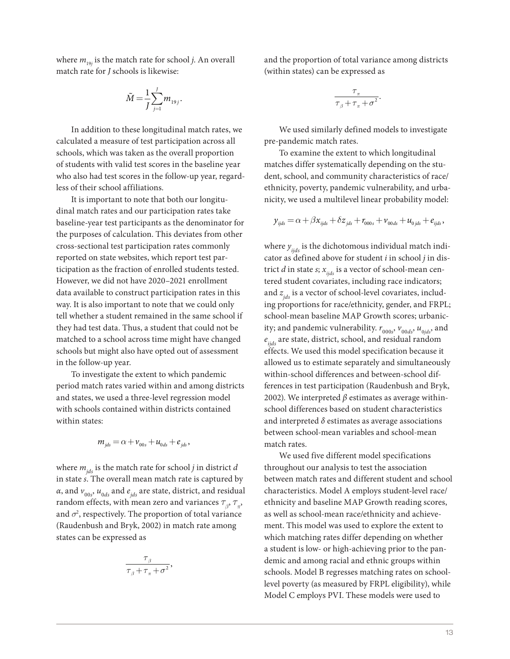where  $m_{_{19j}}$  is the match rate for school *j*. An overall match rate for *J* schools is likewise:

$$
\tilde{M} = \frac{1}{J} \sum_{j=1}^{J} m_{19j}.
$$

In addition to these longitudinal match rates, we calculated a measure of test participation across all schools, which was taken as the overall proportion of students with valid test scores in the baseline year who also had test scores in the follow-up year, regardless of their school affiliations.

It is important to note that both our longitudinal match rates and our participation rates take baseline-year test participants as the denominator for the purposes of calculation. This deviates from other cross-sectional test participation rates commonly reported on state websites, which report test participation as the fraction of enrolled students tested. However, we did not have 2020–2021 enrollment data available to construct participation rates in this way. It is also important to note that we could only tell whether a student remained in the same school if they had test data. Thus, a student that could not be matched to a school across time might have changed schools but might also have opted out of assessment in the follow-up year.

To investigate the extent to which pandemic period match rates varied within and among districts and states, we used a three-level regression model with schools contained within districts contained within states:

$$
m_{\scriptscriptstyle jds} = \alpha + \nu_{\scriptscriptstyle 00s} + u_{\scriptscriptstyle 0ds} + e_{\scriptscriptstyle jds},
$$

where  $m_{i,ds}$  is the match rate for school *j* in district *d* in state *s*. The overall mean match rate is captured by *α*, and  $v_{00s}$ ,  $u_{0ds}$  and  $e_{jds}$  are state, district, and residual random effects, with mean zero and variances  $\tau_{\beta}$ ,  $\tau_{\pi}$ , and  $\sigma^2$ , respectively. The proportion of total variance (Raudenbush and Bryk, 2002) in match rate among states can be expressed as

$$
\frac{\tau_{\beta}}{\tau_{\beta} + \tau_{\pi} + \sigma^2},
$$

and the proportion of total variance among districts (within states) can be expressed as

$$
\frac{\tau_{\pi}}{\tau_{\beta} + \tau_{\pi} + \sigma^2}.
$$

We used similarly defined models to investigate pre-pandemic match rates.

To examine the extent to which longitudinal matches differ systematically depending on the student, school, and community characteristics of race/ ethnicity, poverty, pandemic vulnerability, and urbanicity, we used a multilevel linear probability model:

$$
y_{ijds} = \alpha + \beta x_{ijds} + \delta z_{jds} + r_{000s} + v_{00ds} + u_{0jds} + e_{ijds},
$$

where  $y_{ijds}$  is the dichotomous individual match indicator as defined above for student *i* in school *j* in district *d* in state *s*;  $x_{\text{iids}}$  is a vector of school-mean centered student covariates, including race indicators; and  $z_{ids}$  is a vector of school-level covariates, including proportions for race/ethnicity, gender, and FRPL; school-mean baseline MAP Growth scores; urbanicity; and pandemic vulnerability.  $r_{_{000s}}$ ,  $v_{_{00ds}}$ ,  $u_{_{0jds}}$ , and  $e_{\text{iids}}$  are state, district, school, and residual random effects. We used this model specification because it allowed us to estimate separately and simultaneously within-school differences and between-school differences in test participation (Raudenbush and Bryk, 2002). We interpreted *β* estimates as average withinschool differences based on student characteristics and interpreted *δ* estimates as average associations between school-mean variables and school-mean match rates.

We used five different model specifications throughout our analysis to test the association between match rates and different student and school characteristics. Model A employs student-level race/ ethnicity and baseline MAP Growth reading scores, as well as school-mean race/ethnicity and achievement. This model was used to explore the extent to which matching rates differ depending on whether a student is low- or high-achieving prior to the pandemic and among racial and ethnic groups within schools. Model B regresses matching rates on schoollevel poverty (as measured by FRPL eligibility), while Model C employs PVI. These models were used to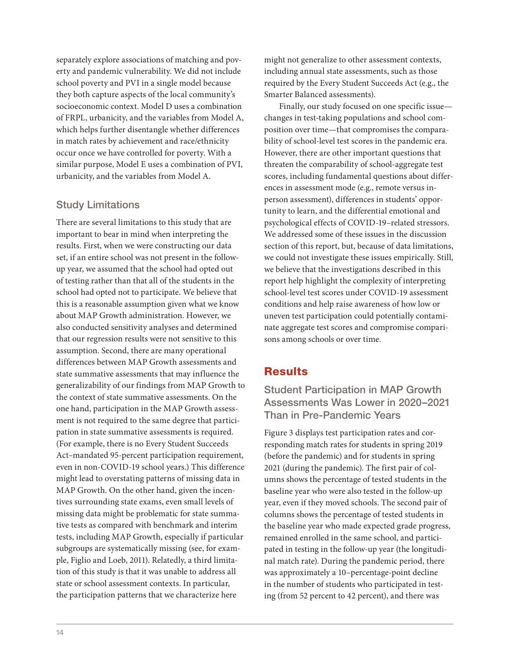separately explore associations of matching and poverty and pandemic vulnerability. We did not include school poverty and PVI in a single model because they both capture aspects of the local community's socioeconomic context. Model D uses a combination of FRPL, urbanicity, and the variables from Model A, which helps further disentangle whether differences in match rates by achievement and race/ethnicity occur once we have controlled for poverty. With a similar purpose, Model E uses a combination of PVI, urbanicity, and the variables from Model A.

## Study Limitations

There are several limitations to this study that are important to bear in mind when interpreting the results. First, when we were constructing our data set, if an entire school was not present in the followup year, we assumed that the school had opted out of testing rather than that all of the students in the school had opted not to participate. We believe that this is a reasonable assumption given what we know about MAP Growth administration. However, we also conducted sensitivity analyses and determined that our regression results were not sensitive to this assumption. Second, there are many operational differences between MAP Growth assessments and state summative assessments that may influence the generalizability of our findings from MAP Growth to the context of state summative assessments. On the one hand, participation in the MAP Growth assessment is not required to the same degree that participation in state summative assessments is required. (For example, there is no Every Student Succeeds Act–mandated 95-percent participation requirement, even in non-COVID-19 school years.) This difference might lead to overstating patterns of missing data in MAP Growth. On the other hand, given the incentives surrounding state exams, even small levels of missing data might be problematic for state summative tests as compared with benchmark and interim tests, including MAP Growth, especially if particular subgroups are systematically missing (see, for example, Figlio and Loeb, 2011). Relatedly, a third limitation of this study is that it was unable to address all state or school assessment contexts. In particular, the participation patterns that we characterize here

might not generalize to other assessment contexts, including annual state assessments, such as those required by the Every Student Succeeds Act (e.g., the Smarter Balanced assessments).

Finally, our study focused on one specific issue changes in test-taking populations and school composition over time—that compromises the comparability of school-level test scores in the pandemic era. However, there are other important questions that threaten the comparability of school-aggregate test scores, including fundamental questions about differences in assessment mode (e.g., remote versus inperson assessment), differences in students' opportunity to learn, and the differential emotional and psychological effects of COVID-19–related stressors. We addressed some of these issues in the discussion section of this report, but, because of data limitations, we could not investigate these issues empirically. Still, we believe that the investigations described in this report help highlight the complexity of interpreting school-level test scores under COVID-19 assessment conditions and help raise awareness of how low or uneven test participation could potentially contaminate aggregate test scores and compromise comparisons among schools or over time.

## **Results**

Student Participation in MAP Growth Assessments Was Lower in 2020–2021 Than in Pre-Pandemic Years

Figure 3 displays test participation rates and corresponding match rates for students in spring 2019 (before the pandemic) and for students in spring 2021 (during the pandemic). The first pair of columns shows the percentage of tested students in the baseline year who were also tested in the follow-up year, even if they moved schools. The second pair of columns shows the percentage of tested students in the baseline year who made expected grade progress, remained enrolled in the same school, and participated in testing in the follow-up year (the longitudinal match rate). During the pandemic period, there was approximately a 10–percentage-point decline in the number of students who participated in testing (from 52 percent to 42 percent), and there was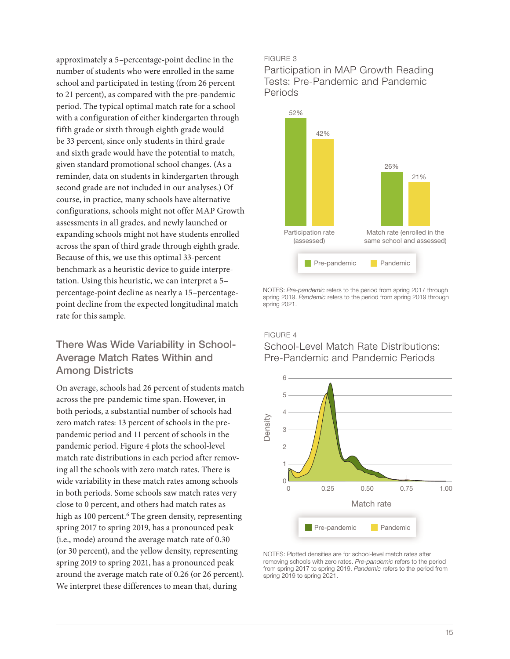approximately a 5–percentage-point decline in the number of students who were enrolled in the same school and participated in testing (from 26 percent to 21 percent), as compared with the pre-pandemic period. The typical optimal match rate for a school with a configuration of either kindergarten through fifth grade or sixth through eighth grade would be 33 percent, since only students in third grade and sixth grade would have the potential to match, given standard promotional school changes. (As a reminder, data on students in kindergarten through second grade are not included in our analyses.) Of course, in practice, many schools have alternative configurations, schools might not offer MAP Growth assessments in all grades, and newly launched or expanding schools might not have students enrolled across the span of third grade through eighth grade. Because of this, we use this optimal 33-percent benchmark as a heuristic device to guide interpretation. Using this heuristic, we can interpret a 5– percentage-point decline as nearly a 15–percentagepoint decline from the expected longitudinal match rate for this sample.

## There Was Wide Variability in School-Average Match Rates Within and Among Districts

On average, schools had 26 percent of students match across the pre-pandemic time span. However, in both periods, a substantial number of schools had zero match rates: 13 percent of schools in the prepandemic period and 11 percent of schools in the pandemic period. Figure 4 plots the school-level match rate distributions in each period after removing all the schools with zero match rates. There is wide variability in these match rates among schools in both periods. Some schools saw match rates very close to 0 percent, and others had match rates as high as 100 percent.<sup>6</sup> The green density, representing spring 2017 to spring 2019, has a pronounced peak (i.e., mode) around the average match rate of 0.30 (or 30 percent), and the yellow density, representing spring 2019 to spring 2021, has a pronounced peak around the average match rate of 0.26 (or 26 percent). We interpret these differences to mean that, during

#### FIGURE 3

Participation in MAP Growth Reading Tests: Pre-Pandemic and Pandemic Periods



NOTES: *Pre-pandemic* refers to the period from spring 2017 through spring 2019. *Pandemic* refers to the period from spring 2019 through spring 2021.

#### FIGURE 4

School-Level Match Rate Distributions: Pre-Pandemic and Pandemic Periods



NOTES: Plotted densities are for school-level match rates after removing schools with zero rates. *Pre-pandemic* refers to the period from spring 2017 to spring 2019. *Pandemic* refers to the period from spring 2019 to spring 2021.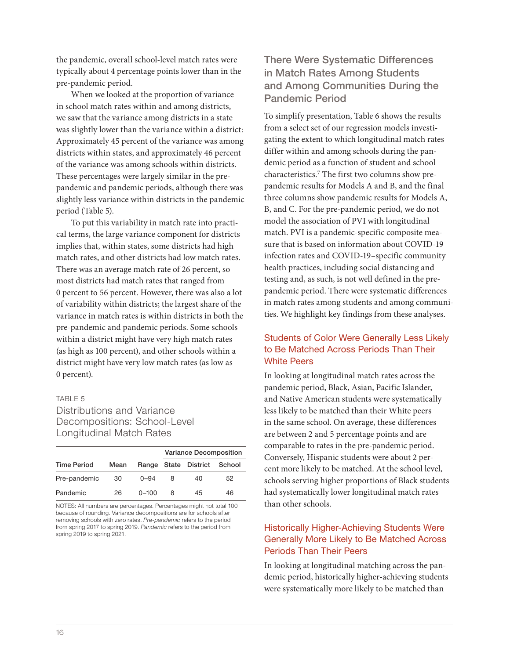the pandemic, overall school-level match rates were typically about 4 percentage points lower than in the pre-pandemic period.

When we looked at the proportion of variance in school match rates within and among districts, we saw that the variance among districts in a state was slightly lower than the variance within a district: Approximately 45 percent of the variance was among districts within states, and approximately 46 percent of the variance was among schools within districts. These percentages were largely similar in the prepandemic and pandemic periods, although there was slightly less variance within districts in the pandemic period (Table 5).

To put this variability in match rate into practical terms, the large variance component for districts implies that, within states, some districts had high match rates, and other districts had low match rates. There was an average match rate of 26 percent, so most districts had match rates that ranged from 0 percent to 56 percent. However, there was also a lot of variability within districts; the largest share of the variance in match rates is within districts in both the pre-pandemic and pandemic periods. Some schools within a district might have very high match rates (as high as 100 percent), and other schools within a district might have very low match rates (as low as 0 percent).

#### TABLE 5

#### Distributions and Variance Decompositions: School-Level Longitudinal Match Rates

|                    |      |           | <b>Variance Decomposition</b> |                             |    |  |  |
|--------------------|------|-----------|-------------------------------|-----------------------------|----|--|--|
| <b>Time Period</b> | Mean |           |                               | Range State District School |    |  |  |
| Pre-pandemic       | 30   | $0 - 94$  | 8                             | 40                          | 52 |  |  |
| Pandemic           | 26   | $0 - 100$ | 8                             | 45                          | 46 |  |  |

NOTES: All numbers are percentages. Percentages might not total 100 because of rounding. Variance decompositions are for schools after removing schools with zero rates. *Pre-pandemic* refers to the period from spring 2017 to spring 2019. *Pandemic* refers to the period from spring 2019 to spring 2021.

## There Were Systematic Differences in Match Rates Among Students and Among Communities During the Pandemic Period

To simplify presentation, Table 6 shows the results from a select set of our regression models investigating the extent to which longitudinal match rates differ within and among schools during the pandemic period as a function of student and school characteristics.7 The first two columns show prepandemic results for Models A and B, and the final three columns show pandemic results for Models A, B, and C. For the pre-pandemic period, we do not model the association of PVI with longitudinal match. PVI is a pandemic-specific composite measure that is based on information about COVID-19 infection rates and COVID-19–specific community health practices, including social distancing and testing and, as such, is not well defined in the prepandemic period. There were systematic differences in match rates among students and among communities. We highlight key findings from these analyses.

#### Students of Color Were Generally Less Likely to Be Matched Across Periods Than Their White Peers

In looking at longitudinal match rates across the pandemic period, Black, Asian, Pacific Islander, and Native American students were systematically less likely to be matched than their White peers in the same school. On average, these differences are between 2 and 5 percentage points and are comparable to rates in the pre-pandemic period. Conversely, Hispanic students were about 2 percent more likely to be matched. At the school level, schools serving higher proportions of Black students had systematically lower longitudinal match rates than other schools.

#### Historically Higher-Achieving Students Were Generally More Likely to Be Matched Across Periods Than Their Peers

In looking at longitudinal matching across the pandemic period, historically higher-achieving students were systematically more likely to be matched than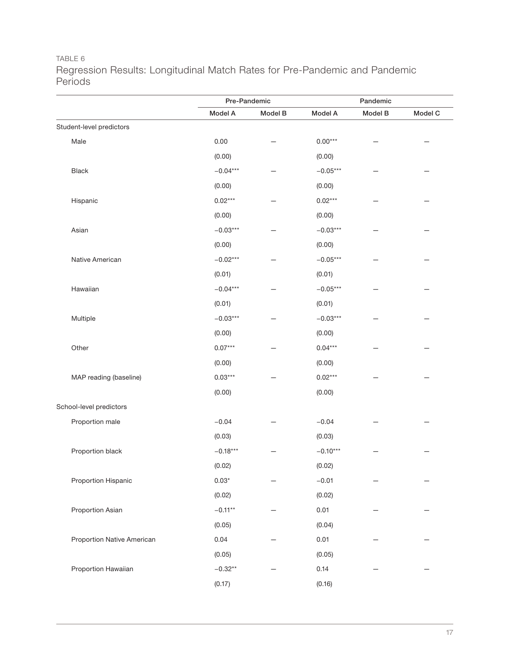## TABLE 6 Regression Results: Longitudinal Match Rates for Pre-Pandemic and Pandemic Periods

|                            |                | Pre-Pandemic |            | Pandemic |         |  |
|----------------------------|----------------|--------------|------------|----------|---------|--|
|                            | Model A        | Model B      | Model A    | Model B  | Model C |  |
| Student-level predictors   |                |              |            |          |         |  |
| Male                       | 0.00           |              | $0.00***$  |          |         |  |
|                            | (0.00)         |              | (0.00)     |          |         |  |
| Black                      | $-0.04***$     |              | $-0.05***$ |          |         |  |
|                            | (0.00)         |              | (0.00)     |          |         |  |
| Hispanic                   | $0.02***$      |              | $0.02***$  |          |         |  |
|                            | (0.00)         |              | (0.00)     |          |         |  |
| Asian                      | $-0.03***$     |              | $-0.03***$ |          |         |  |
|                            | (0.00)         |              | (0.00)     |          |         |  |
| Native American            | $-0.02***$     |              | $-0.05***$ |          |         |  |
|                            | (0.01)         |              | (0.01)     |          |         |  |
| Hawaiian                   | $-0.04***$     |              | $-0.05***$ |          |         |  |
|                            | (0.01)         |              | (0.01)     |          |         |  |
| Multiple                   | $-0.03***$     |              | $-0.03***$ |          |         |  |
|                            | (0.00)         |              | (0.00)     |          |         |  |
| Other                      | $0.07***$      |              | $0.04***$  |          |         |  |
|                            | (0.00)         |              | (0.00)     |          |         |  |
| MAP reading (baseline)     | $0.03***$      |              | $0.02***$  |          |         |  |
|                            | (0.00)         |              | (0.00)     |          |         |  |
| School-level predictors    |                |              |            |          |         |  |
| Proportion male            | $-0.04$        |              | $-0.04$    |          |         |  |
|                            | (0.03)         |              | (0.03)     |          |         |  |
| Proportion black           | $-0.18***$     |              | $-0.10***$ |          |         |  |
|                            | (0.02)         |              | (0.02)     |          |         |  |
| Proportion Hispanic        | $0.03^{\star}$ |              | $-0.01$    |          |         |  |
|                            | (0.02)         |              | (0.02)     |          |         |  |
| Proportion Asian           | $-0.11**$      |              | 0.01       |          |         |  |
|                            | (0.05)         |              | (0.04)     |          |         |  |
| Proportion Native American | 0.04           |              | 0.01       |          |         |  |
|                            | (0.05)         |              | (0.05)     |          |         |  |
| Proportion Hawaiian        | $-0.32**$      |              | 0.14       |          |         |  |
|                            | (0.17)         |              | (0.16)     |          |         |  |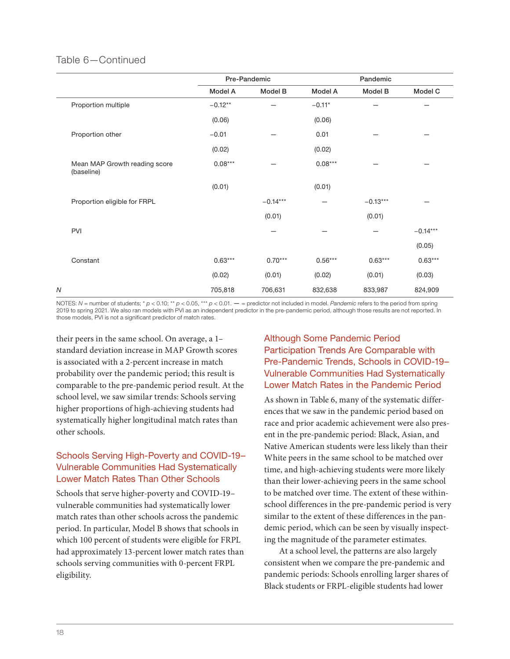#### Table 6—Continued

|                                             |           | Pre-Pandemic |           | Pandemic   |            |  |
|---------------------------------------------|-----------|--------------|-----------|------------|------------|--|
|                                             | Model A   | Model B      | Model A   | Model B    | Model C    |  |
| Proportion multiple                         | $-0.12**$ |              | $-0.11*$  |            |            |  |
|                                             | (0.06)    |              | (0.06)    |            |            |  |
| Proportion other                            | $-0.01$   |              | 0.01      |            |            |  |
|                                             | (0.02)    |              | (0.02)    |            |            |  |
| Mean MAP Growth reading score<br>(baseline) | $0.08***$ |              | $0.08***$ |            |            |  |
|                                             | (0.01)    |              | (0.01)    |            |            |  |
| Proportion eligible for FRPL                |           | $-0.14***$   |           | $-0.13***$ |            |  |
|                                             |           | (0.01)       |           | (0.01)     |            |  |
| PVI                                         |           |              |           |            | $-0.14***$ |  |
|                                             |           |              |           |            | (0.05)     |  |
| Constant                                    | $0.63***$ | $0.70***$    | $0.56***$ | $0.63***$  | $0.63***$  |  |
|                                             | (0.02)    | (0.01)       | (0.02)    | (0.01)     | (0.03)     |  |
| N                                           | 705,818   | 706,631      | 832,638   | 833,987    | 824,909    |  |

NOTES: *N* = number of students; \* *p* < 0.10; \*\* *p* < 0.05, \*\*\* *p* < 0.01. — = predictor not included in model. *Pandemic* refers to the period from spring 2019 to spring 2021. We also ran models with PVI as an independent predictor in the pre-pandemic period, although those results are not reported. In those models, PVI is not a significant predictor of match rates.

their peers in the same school. On average, a 1– standard deviation increase in MAP Growth scores is associated with a 2-percent increase in match probability over the pandemic period; this result is comparable to the pre-pandemic period result. At the school level, we saw similar trends: Schools serving higher proportions of high-achieving students had systematically higher longitudinal match rates than other schools.

## Schools Serving High-Poverty and COVID-19– Vulnerable Communities Had Systematically Lower Match Rates Than Other Schools

Schools that serve higher-poverty and COVID-19– vulnerable communities had systematically lower match rates than other schools across the pandemic period. In particular, Model B shows that schools in which 100 percent of students were eligible for FRPL had approximately 13-percent lower match rates than schools serving communities with 0-percent FRPL eligibility.

## Although Some Pandemic Period Participation Trends Are Comparable with Pre-Pandemic Trends, Schools in COVID-19– Vulnerable Communities Had Systematically Lower Match Rates in the Pandemic Period

As shown in Table 6, many of the systematic differences that we saw in the pandemic period based on race and prior academic achievement were also present in the pre-pandemic period: Black, Asian, and Native American students were less likely than their White peers in the same school to be matched over time, and high-achieving students were more likely than their lower-achieving peers in the same school to be matched over time. The extent of these withinschool differences in the pre-pandemic period is very similar to the extent of these differences in the pandemic period, which can be seen by visually inspecting the magnitude of the parameter estimates.

At a school level, the patterns are also largely consistent when we compare the pre-pandemic and pandemic periods: Schools enrolling larger shares of Black students or FRPL-eligible students had lower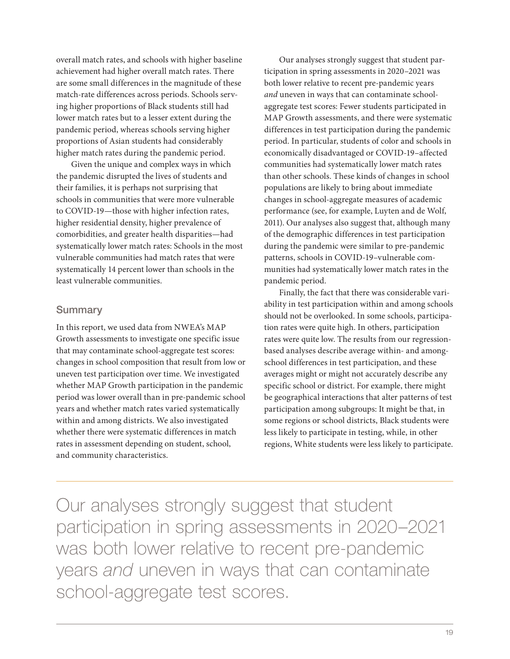overall match rates, and schools with higher baseline achievement had higher overall match rates. There are some small differences in the magnitude of these match-rate differences across periods. Schools serving higher proportions of Black students still had lower match rates but to a lesser extent during the pandemic period, whereas schools serving higher proportions of Asian students had considerably higher match rates during the pandemic period.

Given the unique and complex ways in which the pandemic disrupted the lives of students and their families, it is perhaps not surprising that schools in communities that were more vulnerable to COVID-19—those with higher infection rates, higher residential density, higher prevalence of comorbidities, and greater health disparities—had systematically lower match rates: Schools in the most vulnerable communities had match rates that were systematically 14 percent lower than schools in the least vulnerable communities.

#### Summary

In this report, we used data from NWEA's MAP Growth assessments to investigate one specific issue that may contaminate school-aggregate test scores: changes in school composition that result from low or uneven test participation over time. We investigated whether MAP Growth participation in the pandemic period was lower overall than in pre-pandemic school years and whether match rates varied systematically within and among districts. We also investigated whether there were systematic differences in match rates in assessment depending on student, school, and community characteristics.

Our analyses strongly suggest that student participation in spring assessments in 2020–2021 was both lower relative to recent pre-pandemic years *and* uneven in ways that can contaminate schoolaggregate test scores: Fewer students participated in MAP Growth assessments, and there were systematic differences in test participation during the pandemic period. In particular, students of color and schools in economically disadvantaged or COVID-19–affected communities had systematically lower match rates than other schools. These kinds of changes in school populations are likely to bring about immediate changes in school-aggregate measures of academic performance (see, for example, Luyten and de Wolf, 2011). Our analyses also suggest that, although many of the demographic differences in test participation during the pandemic were similar to pre-pandemic patterns, schools in COVID-19–vulnerable communities had systematically lower match rates in the pandemic period.

Finally, the fact that there was considerable variability in test participation within and among schools should not be overlooked. In some schools, participation rates were quite high. In others, participation rates were quite low. The results from our regressionbased analyses describe average within- and amongschool differences in test participation, and these averages might or might not accurately describe any specific school or district. For example, there might be geographical interactions that alter patterns of test participation among subgroups: It might be that, in some regions or school districts, Black students were less likely to participate in testing, while, in other regions, White students were less likely to participate.

Our analyses strongly suggest that student participation in spring assessments in 2020–2021 was both lower relative to recent pre-pandemic years *and* uneven in ways that can contaminate school-aggregate test scores.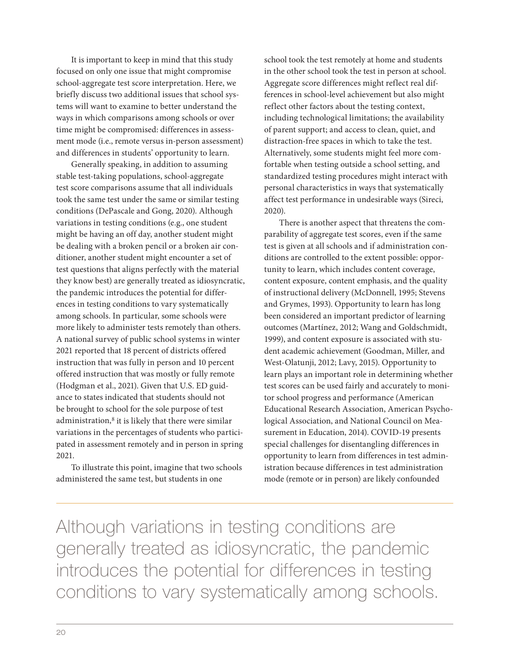It is important to keep in mind that this study focused on only one issue that might compromise school-aggregate test score interpretation. Here, we briefly discuss two additional issues that school systems will want to examine to better understand the ways in which comparisons among schools or over time might be compromised: differences in assessment mode (i.e., remote versus in-person assessment) and differences in students' opportunity to learn.

Generally speaking, in addition to assuming stable test-taking populations, school-aggregate test score comparisons assume that all individuals took the same test under the same or similar testing conditions (DePascale and Gong, 2020). Although variations in testing conditions (e.g., one student might be having an off day, another student might be dealing with a broken pencil or a broken air conditioner, another student might encounter a set of test questions that aligns perfectly with the material they know best) are generally treated as idiosyncratic, the pandemic introduces the potential for differences in testing conditions to vary systematically among schools. In particular, some schools were more likely to administer tests remotely than others. A national survey of public school systems in winter 2021 reported that 18 percent of districts offered instruction that was fully in person and 10 percent offered instruction that was mostly or fully remote (Hodgman et al., 2021). Given that U.S. ED guidance to states indicated that students should not be brought to school for the sole purpose of test administration,<sup>8</sup> it is likely that there were similar variations in the percentages of students who participated in assessment remotely and in person in spring 2021.

To illustrate this point, imagine that two schools administered the same test, but students in one

school took the test remotely at home and students in the other school took the test in person at school. Aggregate score differences might reflect real differences in school-level achievement but also might reflect other factors about the testing context, including technological limitations; the availability of parent support; and access to clean, quiet, and distraction-free spaces in which to take the test. Alternatively, some students might feel more comfortable when testing outside a school setting, and standardized testing procedures might interact with personal characteristics in ways that systematically affect test performance in undesirable ways (Sireci, 2020).

There is another aspect that threatens the comparability of aggregate test scores, even if the same test is given at all schools and if administration conditions are controlled to the extent possible: opportunity to learn, which includes content coverage, content exposure, content emphasis, and the quality of instructional delivery (McDonnell, 1995; Stevens and Grymes, 1993). Opportunity to learn has long been considered an important predictor of learning outcomes (Martínez, 2012; Wang and Goldschmidt, 1999), and content exposure is associated with student academic achievement (Goodman, Miller, and West-Olatunji, 2012; Lavy, 2015). Opportunity to learn plays an important role in determining whether test scores can be used fairly and accurately to monitor school progress and performance (American Educational Research Association, American Psychological Association, and National Council on Measurement in Education, 2014). COVID-19 presents special challenges for disentangling differences in opportunity to learn from differences in test administration because differences in test administration mode (remote or in person) are likely confounded

Although variations in testing conditions are generally treated as idiosyncratic, the pandemic introduces the potential for differences in testing conditions to vary systematically among schools.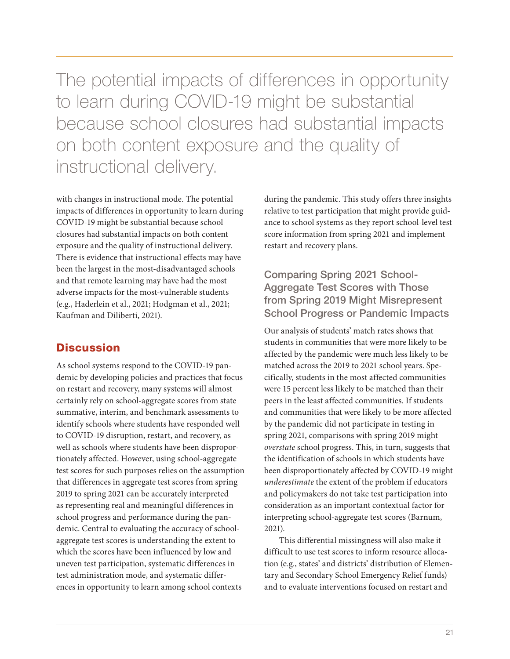The potential impacts of differences in opportunity to learn during COVID-19 might be substantial because school closures had substantial impacts on both content exposure and the quality of instructional delivery.

with changes in instructional mode. The potential impacts of differences in opportunity to learn during COVID-19 might be substantial because school closures had substantial impacts on both content exposure and the quality of instructional delivery. There is evidence that instructional effects may have been the largest in the most-disadvantaged schools and that remote learning may have had the most adverse impacts for the most-vulnerable students (e.g., Haderlein et al., 2021; Hodgman et al., 2021; Kaufman and Diliberti, 2021).

## **Discussion**

As school systems respond to the COVID-19 pandemic by developing policies and practices that focus on restart and recovery, many systems will almost certainly rely on school-aggregate scores from state summative, interim, and benchmark assessments to identify schools where students have responded well to COVID-19 disruption, restart, and recovery, as well as schools where students have been disproportionately affected. However, using school-aggregate test scores for such purposes relies on the assumption that differences in aggregate test scores from spring 2019 to spring 2021 can be accurately interpreted as representing real and meaningful differences in school progress and performance during the pandemic. Central to evaluating the accuracy of schoolaggregate test scores is understanding the extent to which the scores have been influenced by low and uneven test participation, systematic differences in test administration mode, and systematic differences in opportunity to learn among school contexts

during the pandemic. This study offers three insights relative to test participation that might provide guidance to school systems as they report school-level test score information from spring 2021 and implement restart and recovery plans.

## Comparing Spring 2021 School-Aggregate Test Scores with Those from Spring 2019 Might Misrepresent School Progress or Pandemic Impacts

Our analysis of students' match rates shows that students in communities that were more likely to be affected by the pandemic were much less likely to be matched across the 2019 to 2021 school years. Specifically, students in the most affected communities were 15 percent less likely to be matched than their peers in the least affected communities. If students and communities that were likely to be more affected by the pandemic did not participate in testing in spring 2021, comparisons with spring 2019 might *overstate* school progress. This, in turn, suggests that the identification of schools in which students have been disproportionately affected by COVID-19 might *underestimate* the extent of the problem if educators and policymakers do not take test participation into consideration as an important contextual factor for interpreting school-aggregate test scores (Barnum, 2021).

This differential missingness will also make it difficult to use test scores to inform resource allocation (e.g., states' and districts' distribution of Elementary and Secondary School Emergency Relief funds) and to evaluate interventions focused on restart and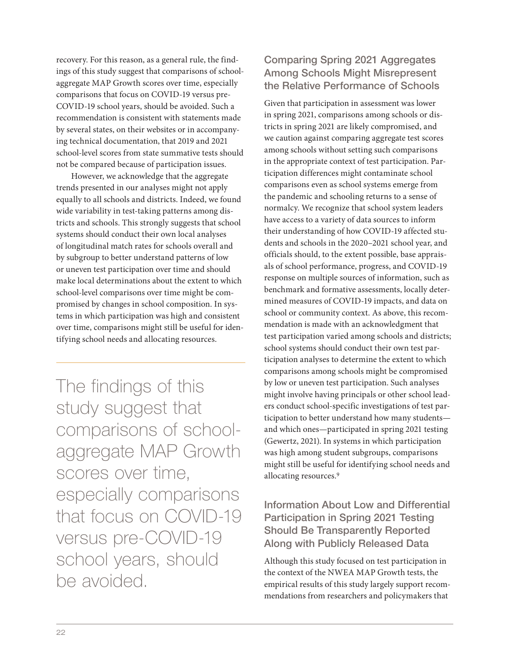recovery. For this reason, as a general rule, the findings of this study suggest that comparisons of schoolaggregate MAP Growth scores over time, especially comparisons that focus on COVID-19 versus pre-COVID-19 school years, should be avoided. Such a recommendation is consistent with statements made by several states, on their websites or in accompanying technical documentation, that 2019 and 2021 school-level scores from state summative tests should not be compared because of participation issues.

However, we acknowledge that the aggregate trends presented in our analyses might not apply equally to all schools and districts. Indeed, we found wide variability in test-taking patterns among districts and schools. This strongly suggests that school systems should conduct their own local analyses of longitudinal match rates for schools overall and by subgroup to better understand patterns of low or uneven test participation over time and should make local determinations about the extent to which school-level comparisons over time might be compromised by changes in school composition. In systems in which participation was high and consistent over time, comparisons might still be useful for identifying school needs and allocating resources.

The findings of this study suggest that comparisons of schoolaggregate MAP Growth scores over time, especially comparisons that focus on COVID-19 versus pre-COVID-19 school years, should be avoided.

## Comparing Spring 2021 Aggregates Among Schools Might Misrepresent the Relative Performance of Schools

Given that participation in assessment was lower in spring 2021, comparisons among schools or districts in spring 2021 are likely compromised, and we caution against comparing aggregate test scores among schools without setting such comparisons in the appropriate context of test participation. Participation differences might contaminate school comparisons even as school systems emerge from the pandemic and schooling returns to a sense of normalcy. We recognize that school system leaders have access to a variety of data sources to inform their understanding of how COVID-19 affected students and schools in the 2020–2021 school year, and officials should, to the extent possible, base appraisals of school performance, progress, and COVID-19 response on multiple sources of information, such as benchmark and formative assessments, locally determined measures of COVID-19 impacts, and data on school or community context. As above, this recommendation is made with an acknowledgment that test participation varied among schools and districts; school systems should conduct their own test participation analyses to determine the extent to which comparisons among schools might be compromised by low or uneven test participation. Such analyses might involve having principals or other school leaders conduct school-specific investigations of test participation to better understand how many students and which ones—participated in spring 2021 testing (Gewertz, 2021). In systems in which participation was high among student subgroups, comparisons might still be useful for identifying school needs and allocating resources.<sup>9</sup>

## Information About Low and Differential Participation in Spring 2021 Testing Should Be Transparently Reported Along with Publicly Released Data

Although this study focused on test participation in the context of the NWEA MAP Growth tests, the empirical results of this study largely support recommendations from researchers and policymakers that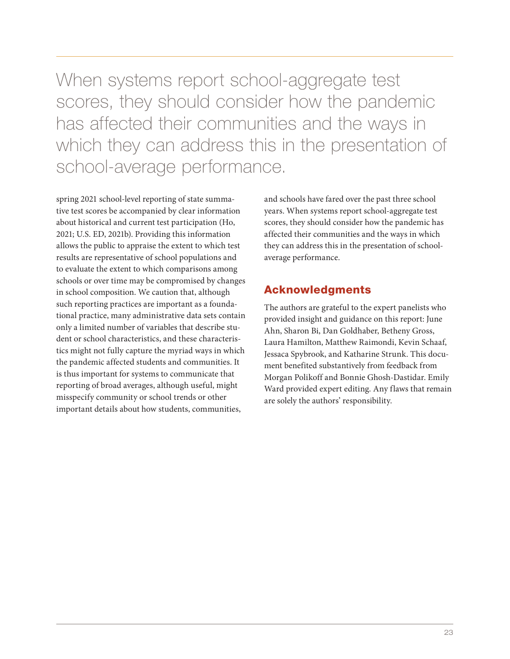When systems report school-aggregate test scores, they should consider how the pandemic has affected their communities and the ways in which they can address this in the presentation of school-average performance.

spring 2021 school-level reporting of state summative test scores be accompanied by clear information about historical and current test participation (Ho, 2021; U.S. ED, 2021b). Providing this information allows the public to appraise the extent to which test results are representative of school populations and to evaluate the extent to which comparisons among schools or over time may be compromised by changes in school composition. We caution that, although such reporting practices are important as a foundational practice, many administrative data sets contain only a limited number of variables that describe student or school characteristics, and these characteristics might not fully capture the myriad ways in which the pandemic affected students and communities. It is thus important for systems to communicate that reporting of broad averages, although useful, might misspecify community or school trends or other important details about how students, communities,

and schools have fared over the past three school years. When systems report school-aggregate test scores, they should consider how the pandemic has affected their communities and the ways in which they can address this in the presentation of schoolaverage performance.

## Acknowledgments

The authors are grateful to the expert panelists who provided insight and guidance on this report: June Ahn, Sharon Bi, Dan Goldhaber, Betheny Gross, Laura Hamilton, Matthew Raimondi, Kevin Schaaf, Jessaca Spybrook, and Katharine Strunk. This document benefited substantively from feedback from Morgan Polikoff and Bonnie Ghosh-Dastidar. Emily Ward provided expert editing. Any flaws that remain are solely the authors' responsibility.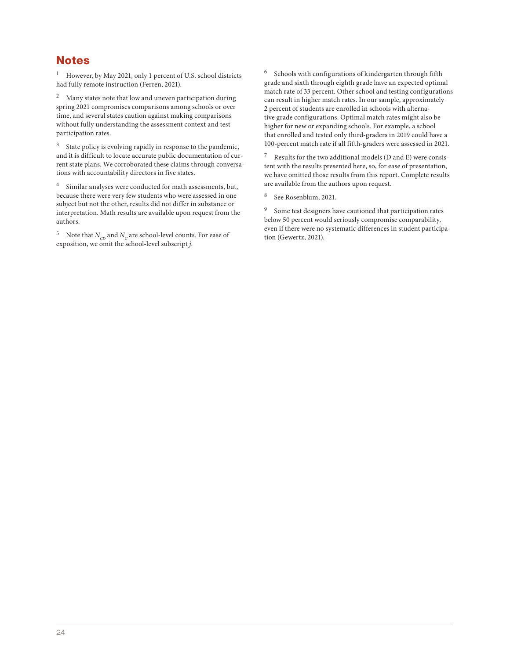## **Notes**

<sup>1</sup> However, by May 2021, only 1 percent of U.S. school districts had fully remote instruction (Ferren, 2021).

 $2$  Many states note that low and uneven participation during spring 2021 compromises comparisons among schools or over time, and several states caution against making comparisons without fully understanding the assessment context and test participation rates.

 $^3$  State policy is evolving rapidly in response to the pandemic, and it is difficult to locate accurate public documentation of current state plans. We corroborated these claims through conversations with accountability directors in five states.

<sup>4</sup> Similar analyses were conducted for math assessments, but, because there were very few students who were assessed in one subject but not the other, results did not differ in substance or interpretation. Math results are available upon request from the authors.

<sup>5</sup> Note that  $N_{CD}$  and  $N_C$  are school-level counts. For ease of exposition, we omit the school-level subscript *j*.

<sup>6</sup> Schools with configurations of kindergarten through fifth grade and sixth through eighth grade have an expected optimal match rate of 33 percent. Other school and testing configurations can result in higher match rates. In our sample, approximately 2 percent of students are enrolled in schools with alternative grade configurations. Optimal match rates might also be higher for new or expanding schools. For example, a school that enrolled and tested only third-graders in 2019 could have a 100-percent match rate if all fifth-graders were assessed in 2021.

<sup>7</sup> Results for the two additional models (D and E) were consistent with the results presented here, so, for ease of presentation, we have omitted those results from this report. Complete results are available from the authors upon request.

See Rosenblum, 2021.

<sup>9</sup> Some test designers have cautioned that participation rates below 50 percent would seriously compromise comparability, even if there were no systematic differences in student participation (Gewertz, 2021).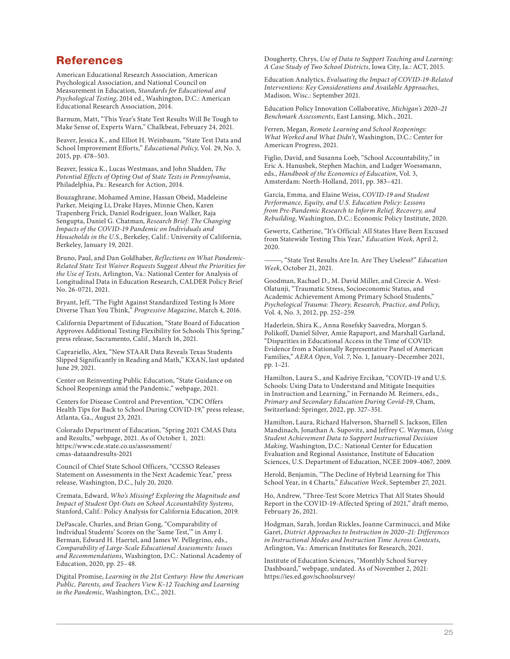### References

American Educational Research Association, American Psychological Association, and National Council on Measurement in Education, *Standards for Educational and Psychological Testing*, 2014 ed., Washington, D.C.: American Educational Research Association, 2014.

Barnum, Matt, "This Year's State Test Results Will Be Tough to Make Sense of, Experts Warn," Chalkbeat, February 24, 2021.

Beaver, Jessica K., and Elliot H. Weinbaum, "State Test Data and School Improvement Efforts," *Educational Policy*, Vol. 29, No. 3, 2015, pp. 478–503.

Beaver, Jessica K., Lucas Westmaas, and John Sludden, *The Potential Effects of Opting Out of State Tests in Pennsylvania*, Philadelphia, Pa.: Research for Action, 2014.

Bouzaghrane, Mohamed Amine, Hassan Obeid, Madeleine Parker, Meiqing Li, Drake Hayes, Minnie Chen, Karen Trapenberg Frick, Daniel Rodríguez, Joan Walker, Raja Sengupta, Daniel G. Chatman, *Research Brief: The Changing Impacts of the COVID-19 Pandemic on Individuals and Households in the U.S.*, Berkeley, Calif.: University of California, Berkeley, January 19, 2021.

Bruno, Paul, and Dan Goldhaber, *Reflections on What Pandemic-Related State Test Waiver Requests Suggest About the Priorities for the Use of Tests*, Arlington, Va.: National Center for Analysis of Longitudinal Data in Education Research, CALDER Policy Brief No. 26-0721, 2021.

Bryant, Jeff, "The Fight Against Standardized Testing Is More Diverse Than You Think," *Progressive Magazine*, March 4, 2016.

California Department of Education, "State Board of Education Approves Additional Testing Flexibility for Schools This Spring," press release, Sacramento, Calif., March 16, 2021.

Caprariello, Alex, "New STAAR Data Reveals Texas Students Slipped Significantly in Reading and Math," KXAN, last updated June 29, 2021.

Center on Reinventing Public Education, "State Guidance on School Reopenings amid the Pandemic," webpage, 2021.

Centers for Disease Control and Prevention, "CDC Offers Health Tips for Back to School During COVID-19," press release, Atlanta, Ga., August 23, 2021.

Colorado Department of Education, "Spring 2021 CMAS Data and Results," webpage, 2021. As of October 1, 2021: [https://www.cde.state.co.us/assessment/](https://www.cde.state.co.us/assessment/cmas-dataandresults-2021) cmas-dataandresults-2021

Council of Chief State School Officers, "CCSSO Releases Statement on Assessments in the Next Academic Year," press release, Washington, D.C., July 20, 2020.

Cremata, Edward, *Who's Missing? Exploring the Magnitude and Impact of Student Opt-Outs on School Accountability Systems*, Stanford, Calif.: Policy Analysis for California Education, 2019.

DePascale, Charles, and Brian Gong, "Comparability of Individual Students' Scores on the 'Same Test,'" in Amy I. Berman, Edward H. Haertel, and James W. Pellegrino, eds., *Comparability of Large-Scale Educational Assessments: Issues and Recommendations*, Washington, D.C.: National Academy of Education, 2020, pp. 25–48.

Digital Promise, *Learning in the 21st Century: How the American Public, Parents, and Teachers View K–12 Teaching and Learning in the Pandemic*, Washington, D.C., 2021.

Dougherty, Chrys, *Use of Data to Support Teaching and Learning: A Case Study of Two School Districts*, Iowa City, Ia.: ACT, 2015.

Education Analytics, *Evaluating the Impact of COVID-19-Related Interventions: Key Considerations and Available Approaches*, Madison, Wisc.: September 2021.

Education Policy Innovation Collaborative, *Michigan's 2020–21 Benchmark Assessments*, East Lansing, Mich., 2021.

Ferren, Megan, *Remote Learning and School Reopenings: What Worked and What Didn't*, Washington, D.C.: Center for American Progress, 2021.

Figlio, David, and Susanna Loeb, "School Accountability," in Eric A. Hanushek, Stephen Machin, and Ludger Woessmann, eds., *Handbook of the Economics of Education*, Vol. 3, Amsterdam: North-Holland, 2011, pp. 383–421.

García, Emma, and Elaine Weiss, *COVID-19 and Student Performance, Equity, and U.S. Education Policy: Lessons from Pre-Pandemic Research to Inform Relief, Recovery, and Rebuilding*, Washington, D.C.: Economic Policy Institute, 2020.

Gewertz, Catherine, "It's Official: All States Have Been Excused from Statewide Testing This Year," *Education Week*, April 2, 2020.

———, "State Test Results Are In. Are They Useless?" *Education Week*, October 21, 2021.

Goodman, Rachael D., M. David Miller, and Cirecie A. West-Olatunji, "Traumatic Stress, Socioeconomic Status, and Academic Achievement Among Primary School Students," *Psychological Trauma: Theory, Research, Practice, and Policy*, Vol. 4, No. 3, 2012, pp. 252–259.

Haderlein, Shira K., Anna Rosefsky Saavedra, Morgan S. Polikoff, Daniel Silver, Amie Rapaport, and Marshall Garland, "Disparities in Educational Access in the Time of COVID: Evidence from a Nationally Representative Panel of American Families," *AERA Open*, Vol. 7, No. 1, January–December 2021, pp. 1–21.

Hamilton, Laura S., and Kadriye Ercikan, "COVID-19 and U.S. Schools: Using Data to Understand and Mitigate Inequities in Instruction and Learning," in Fernando M. Reimers, eds., *Primary and Secondary Education During Covid-19*, Cham, Switzerland: Springer, 2022, pp. 327–351.

Hamilton, Laura, Richard Halverson, Sharnell S. Jackson, Ellen Mandinach, Jonathan A. Supovitz, and Jeffrey C. Wayman, *Using Student Achievement Data to Support Instructional Decision Making*, Washington, D.C.: National Center for Education Evaluation and Regional Assistance, Institute of Education Sciences, U.S. Department of Education, NCEE 2009-4067, 2009.

Herold, Benjamin, "The Decline of Hybrid Learning for This School Year, in 4 Charts," *Education Week*, September 27, 2021.

Ho, Andrew, "Three-Test Score Metrics That All States Should Report in the COVID-19-Affected Spring of 2021," draft memo, February 26, 2021.

Hodgman, Sarah, Jordan Rickles, Joanne Carminucci, and Mike Garet, *District Approaches to Instruction in 2020–21: Differences in Instructional Modes and Instruction Time Across Contexts*, Arlington, Va.: American Institutes for Research, 2021.

Institute of Education Sciences, "Monthly School Survey Dashboard," webpage, undated. As of November 2, 2021: <https://ies.ed.gov/schoolsurvey/>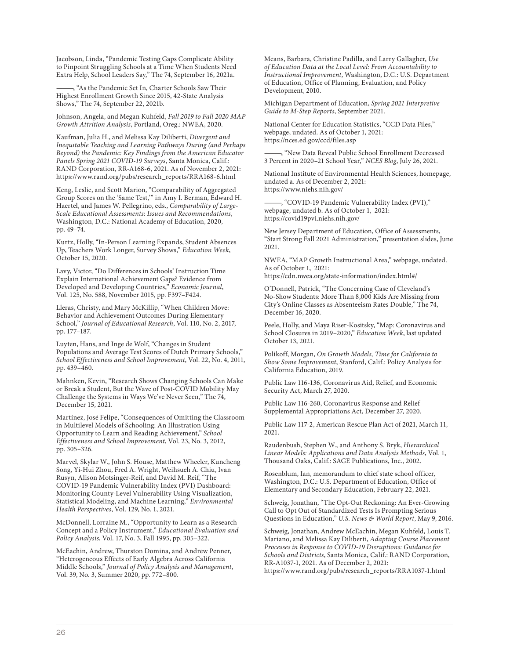Jacobson, Linda, "Pandemic Testing Gaps Complicate Ability to Pinpoint Struggling Schools at a Time When Students Need Extra Help, School Leaders Say," The 74, September 16, 2021a.

, "As the Pandemic Set In, Charter Schools Saw Their Highest Enrollment Growth Since 2015, 42-State Analysis Shows," The 74, September 22, 2021b.

Johnson, Angela, and Megan Kuhfeld, *Fall 2019 to Fall 2020 MAP Growth Attrition Analysis*, Portland, Oreg.: NWEA, 2020.

Kaufman, Julia H., and Melissa Kay Diliberti, *Divergent and Inequitable Teaching and Learning Pathways During (and Perhaps Beyond) the Pandemic: Key Findings from the American Educator Panels Spring 2021 COVID-19 Surveys*, Santa Monica, Calif.: RAND Corporation, RR-A168-6, 2021. As of November 2, 2021: [https://www.rand.org/pubs/research\\_reports/RRA168-6.html](https://www.rand.org/pubs/research_reports/RRA168-6.html)

Keng, Leslie, and Scott Marion, "Comparability of Aggregated Group Scores on the 'Same Test,'" in Amy I. Berman, Edward H. Haertel, and James W. Pellegrino, eds., *Comparability of Large-Scale Educational Assessments: Issues and Recommendations*, Washington, D.C.: National Academy of Education, 2020, pp. 49–74.

Kurtz, Holly, "In-Person Learning Expands, Student Absences Up, Teachers Work Longer, Survey Shows," *Education Week*, October 15, 2020.

Lavy, Victor, "Do Differences in Schools' Instruction Time Explain International Achievement Gaps? Evidence from Developed and Developing Countries," *Economic Journal*, Vol. 125, No. 588, November 2015, pp. F397–F424.

Lleras, Christy, and Mary McKillip, "When Children Move: Behavior and Achievement Outcomes During Elementary School," *Journal of Educational Research*, Vol. 110, No. 2, 2017, pp. 177–187.

Luyten, Hans, and Inge de Wolf, "Changes in Student Populations and Average Test Scores of Dutch Primary Schools," *School Effectiveness and School Improvement*, Vol. 22, No. 4, 2011, pp. 439–460.

Mahnken, Kevin, "Research Shows Changing Schools Can Make or Break a Student, But the Wave of Post-COVID Mobility May Challenge the Systems in Ways We've Never Seen," The 74, December 15, 2021.

Martínez, José Felipe, "Consequences of Omitting the Classroom in Multilevel Models of Schooling: An Illustration Using Opportunity to Learn and Reading Achievement," *School Effectiveness and School Improvement*, Vol. 23, No. 3, 2012, pp. 305–326.

Marvel, Skylar W., John S. House, Matthew Wheeler, Kuncheng Song, Yi-Hui Zhou, Fred A. Wright, Weihsueh A. Chiu, Ivan Rusyn, Alison Motsinger-Reif, and David M. Reif, "The COVID-19 Pandemic Vulnerability Index (PVI) Dashboard: Monitoring County-Level Vulnerability Using Visualization, Statistical Modeling, and Machine Learning," *Environmental Health Perspectives*, Vol. 129, No. 1, 2021.

McDonnell, Lorraine M., "Opportunity to Learn as a Research Concept and a Policy Instrument," *Educational Evaluation and Policy Analysis*, Vol. 17, No. 3, Fall 1995, pp. 305–322.

McEachin, Andrew, Thurston Domina, and Andrew Penner, "Heterogeneous Effects of Early Algebra Across California Middle Schools," *Journal of Policy Analysis and Management*, Vol. 39, No. 3, Summer 2020, pp. 772–800.

Means, Barbara, Christine Padilla, and Larry Gallagher, *Use of Education Data at the Local Level: From Accountability to Instructional Improvement*, Washington, D.C.: U.S. Department of Education, Office of Planning, Evaluation, and Policy Development, 2010.

Michigan Department of Education, *Spring 2021 Interpretive Guide to M-Step Reports*, September 2021.

National Center for Education Statistics, "CCD Data Files," webpage, undated. As of October 1, 2021: <https://nces.ed.gov/ccd/files.asp>

———, "New Data Reveal Public School Enrollment Decreased 3 Percent in 2020–21 School Year," *NCES Blog*, July 26, 2021.

National Institute of Environmental Health Sciences, homepage, undated a. As of December 2, 2021: <https://www.niehs.nih.gov/>

-, "COVID-19 Pandemic Vulnerability Index (PVI)," webpage, undated b. As of October 1, 2021: <https://covid19pvi.niehs.nih.gov/>

New Jersey Department of Education, Office of Assessments, "Start Strong Fall 2021 Administration," presentation slides, June 2021.

NWEA, "MAP Growth Instructional Area," webpage, undated. As of October 1, 2021:

<https://cdn.nwea.org/state-information/index.html#/>

O'Donnell, Patrick, "The Concerning Case of Cleveland's No-Show Students: More Than 8,000 Kids Are Missing from City's Online Classes as Absenteeism Rates Double," The 74, December 16, 2020.

Peele, Holly, and Maya Riser-Kositsky, "Map: Coronavirus and School Closures in 2019–2020," *Education Week*, last updated October 13, 2021.

Polikoff, Morgan, *On Growth Models, Time for California to Show Some Improvement*, Stanford, Calif.: Policy Analysis for California Education, 2019.

Public Law 116-136, Coronavirus Aid, Relief, and Economic Security Act, March 27, 2020.

Public Law 116-260, Coronavirus Response and Relief Supplemental Appropriations Act, December 27, 2020.

Public Law 117-2, American Rescue Plan Act of 2021, March 11, 2021.

Raudenbush, Stephen W., and Anthony S. Bryk, *Hierarchical Linear Models: Applications and Data Analysis Methods*, Vol. 1, Thousand Oaks, Calif.: SAGE Publications, Inc., 2002.

Rosenblum, Ian, memorandum to chief state school officer, Washington, D.C.: U.S. Department of Education, Office of Elementary and Secondary Education, February 22, 2021.

Schweig, Jonathan, "The Opt-Out Reckoning: An Ever-Growing Call to Opt Out of Standardized Tests Is Prompting Serious Questions in Education," *U.S. News & World Report*, May 9, 2016.

Schweig, Jonathan, Andrew McEachin, Megan Kuhfeld, Louis T. Mariano, and Melissa Kay Diliberti, *Adapting Course Placement Processes in Response to COVID-19 Disruptions: Guidance for Schools and Districts*, Santa Monica, Calif.: RAND Corporation, RR-A1037-1, 2021. As of December 2, 2021: [https://www.rand.org/pubs/research\\_reports/RRA1037-1.html](https://www.rand.org/pubs/research_reports/RRA1037-1.html)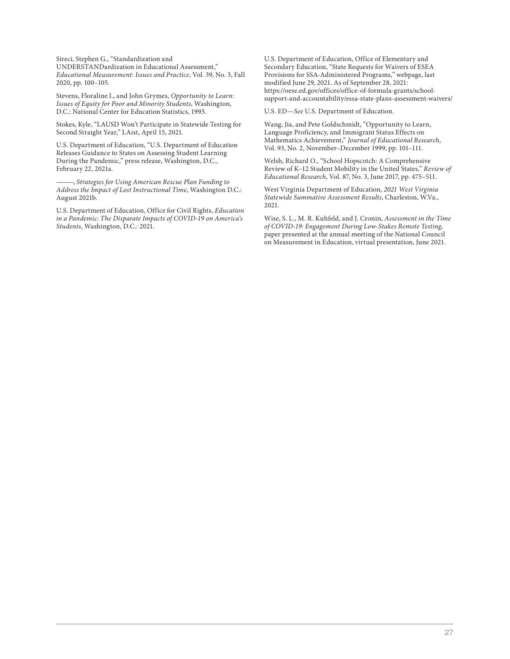Sireci, Stephen G., "Standardization and UNDERSTANDardization in Educational Assessment," *Educational Measurement: Issues and Practice*, Vol. 39, No. 3, Fall 2020, pp. 100–105.

Stevens, Floraline I., and John Grymes, *Opportunity to Learn: Issues of Equity for Poor and Minority Students*, Washington, D.C.: National Center for Education Statistics, 1993.

Stokes, Kyle, "LAUSD Won't Participate in Statewide Testing for Second Straight Year," LAist, April 15, 2021.

U.S. Department of Education, "U.S. Department of Education Releases Guidance to States on Assessing Student Learning During the Pandemic," press release, Washington, D.C., February 22, 2021a.

———, *Strategies for Using American Rescue Plan Funding to Address the Impact of Lost Instructional Time*, Washington D.C.: August 2021b.

U.S. Department of Education, Office for Civil Rights, *Education in a Pandemic: The Disparate Impacts of COVID-19 on America's Students*, Washington, D.C.: 2021.

U.S. Department of Education, Office of Elementary and Secondary Education, "State Requests for Waivers of ESEA Provisions for SSA-Administered Programs," webpage, last modified June 29, 2021. As of September 28, 2021: https://oese.ed.gov/offices/office-of-formula-grants/school[support-and-accountability/essa-state-plans-assessment-waivers/](https://oese.ed.gov/offices/office-of-formula-grants/school-support-and-accountability/essa-state-plans-assessment-waivers/)

U.S. ED—*See* U.S. Department of Education.

Wang, Jia, and Pete Goldschmidt, "Opportunity to Learn, Language Proficiency, and Immigrant Status Effects on Mathematics Achievement," *Journal of Educational Research*, Vol. 93, No. 2, November–December 1999, pp. 101–111.

Welsh, Richard O., "School Hopscotch: A Comprehensive Review of K–12 Student Mobility in the United States," *Review of Educational Research*, Vol. 87, No. 3, June 2017, pp. 475–511.

West Virginia Department of Education, *2021 West Virginia Statewide Summative Assessment Results*, Charleston, W.Va., 2021.

Wise, S. L., M. R. Kuhfeld, and J. Cronin, *Assessment in the Time of COVID-19: Engagement During Low-Stakes Remote Testing*, paper presented at the annual meeting of the National Council on Measurement in Education, virtual presentation, June 2021.